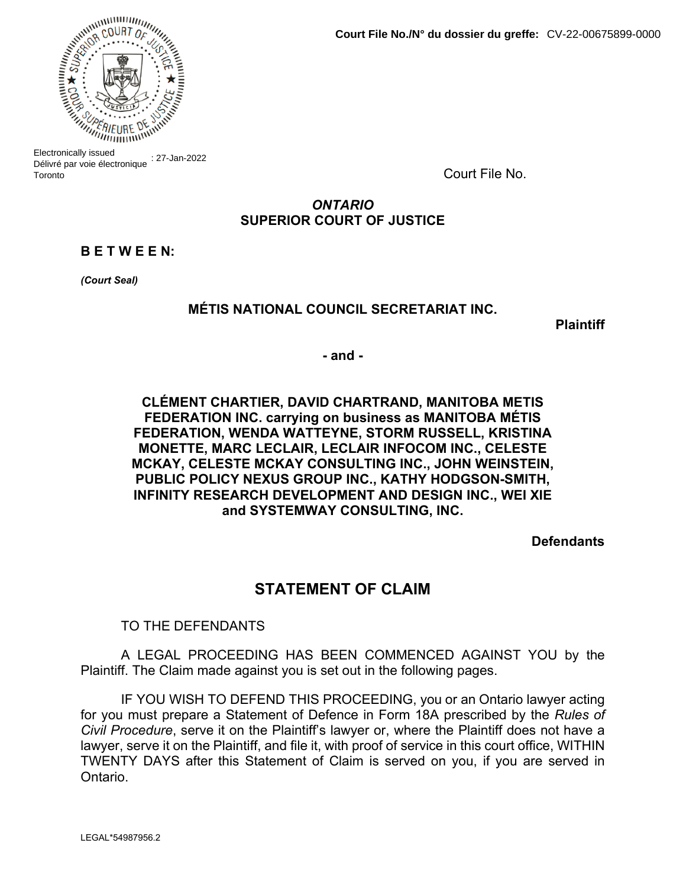

Electronically issued Délivré par voie électronique : 27-Jan-2022 Toronto

Court File No.

# *ONTARIO* **SUPERIOR COURT OF JUSTICE**

# **B E T W E E N:**

*(Court Seal)*

## **MÉTIS NATIONAL COUNCIL SECRETARIAT INC.**

**Plaintiff**

**- and -**

## **CLÉMENT CHARTIER, DAVID CHARTRAND, MANITOBA METIS FEDERATION INC. carrying on business as MANITOBA MÉTIS FEDERATION, WENDA WATTEYNE, STORM RUSSELL, KRISTINA MONETTE, MARC LECLAIR, LECLAIR INFOCOM INC., CELESTE MCKAY, CELESTE MCKAY CONSULTING INC., JOHN WEINSTEIN, PUBLIC POLICY NEXUS GROUP INC., KATHY HODGSON-SMITH, INFINITY RESEARCH DEVELOPMENT AND DESIGN INC., WEI XIE and SYSTEMWAY CONSULTING, INC.**

**Defendants**

# **STATEMENT OF CLAIM**

TO THE DEFENDANTS

A LEGAL PROCEEDING HAS BEEN COMMENCED AGAINST YOU by the Plaintiff. The Claim made against you is set out in the following pages.

IF YOU WISH TO DEFEND THIS PROCEEDING, you or an Ontario lawyer acting for you must prepare a Statement of Defence in Form 18A prescribed by the *Rules of Civil Procedure*, serve it on the Plaintiff's lawyer or, where the Plaintiff does not have a lawyer, serve it on the Plaintiff, and file it, with proof of service in this court office, WITHIN TWENTY DAYS after this Statement of Claim is served on you, if you are served in Ontario.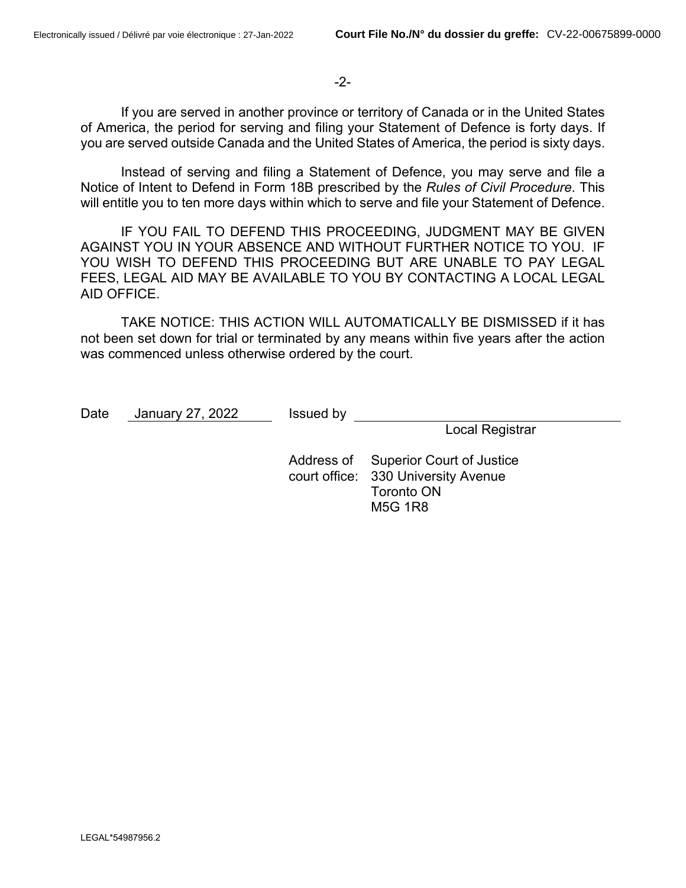## -2-

If you are served in another province or territory of Canada or in the United States of America, the period for serving and filing your Statement of Defence is forty days. If you are served outside Canada and the United States of America, the period is sixty days.

Instead of serving and filing a Statement of Defence, you may serve and file a Notice of Intent to Defend in Form 18B prescribed by the *Rules of Civil Procedure*. This will entitle you to ten more days within which to serve and file your Statement of Defence.

IF YOU FAIL TO DEFEND THIS PROCEEDING, JUDGMENT MAY BE GIVEN AGAINST YOU IN YOUR ABSENCE AND WITHOUT FURTHER NOTICE TO YOU. IF YOU WISH TO DEFEND THIS PROCEEDING BUT ARE UNABLE TO PAY LEGAL FEES, LEGAL AID MAY BE AVAILABLE TO YOU BY CONTACTING A LOCAL LEGAL AID OFFICE.

TAKE NOTICE: THIS ACTION WILL AUTOMATICALLY BE DISMISSED if it has not been set down for trial or terminated by any means within five years after the action was commenced unless otherwise ordered by the court.

| Date | January 27, 2022 | Issued by |                                                                                                  |  |
|------|------------------|-----------|--------------------------------------------------------------------------------------------------|--|
|      |                  |           | <b>Local Registrar</b>                                                                           |  |
|      |                  |           | Address of Superior Court of Justice<br>court office: 330 University Avenue<br><b>Toronto ON</b> |  |
|      |                  |           | M5G 1R8                                                                                          |  |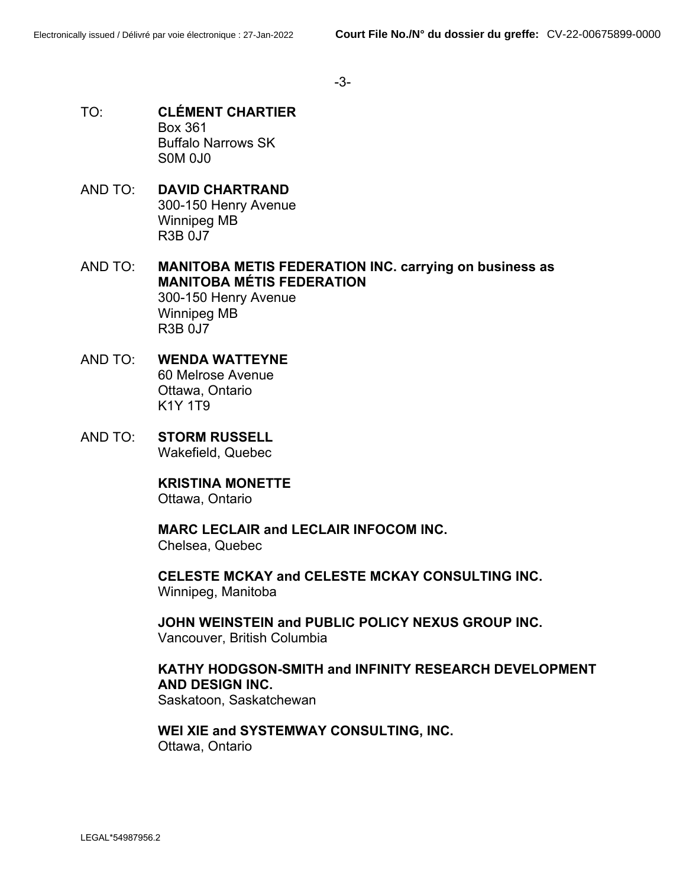-3-

- TO: **CLÉMENT CHARTIER** Box 361 Buffalo Narrows SK S0M 0J0
- AND TO: **DAVID CHARTRAND** 300-150 Henry Avenue Winnipeg MB R3B 0J7
- AND TO: **MANITOBA METIS FEDERATION INC. carrying on business as MANITOBA MÉTIS FEDERATION** 300-150 Henry Avenue Winnipeg MB R3B 0J7
- AND TO: **WENDA WATTEYNE** 60 Melrose Avenue Ottawa, Ontario K1Y 1T9
- AND TO: **STORM RUSSELL** Wakefield, Quebec

**KRISTINA MONETTE**

Ottawa, Ontario

**MARC LECLAIR and LECLAIR INFOCOM INC.** Chelsea, Quebec

**CELESTE MCKAY and CELESTE MCKAY CONSULTING INC.** Winnipeg, Manitoba

**JOHN WEINSTEIN and PUBLIC POLICY NEXUS GROUP INC.** Vancouver, British Columbia

# **KATHY HODGSON-SMITH and INFINITY RESEARCH DEVELOPMENT AND DESIGN INC.**

Saskatoon, Saskatchewan

**WEI XIE and SYSTEMWAY CONSULTING, INC.** Ottawa, Ontario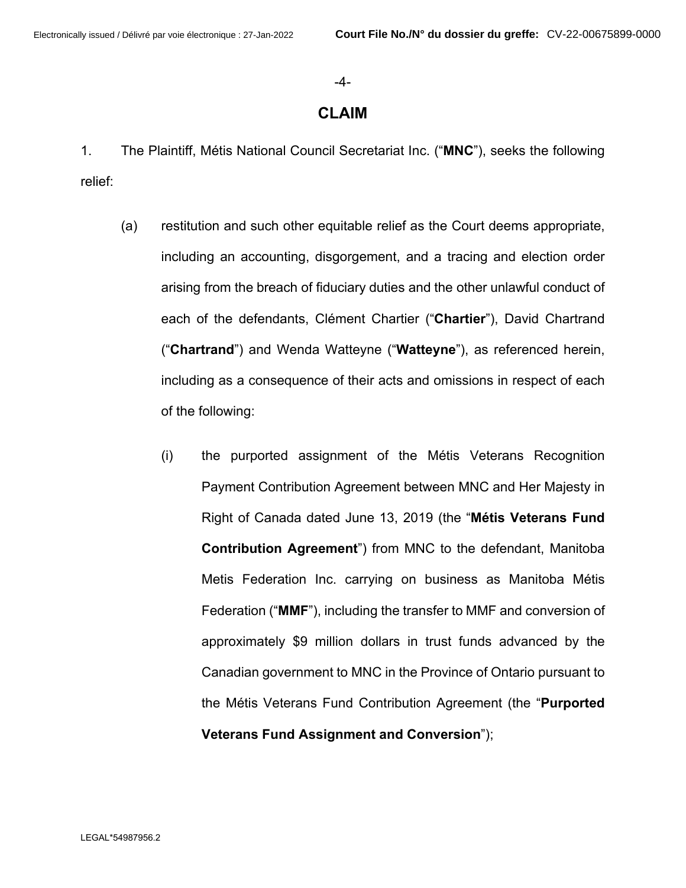#### -4-

## **CLAIM**

1. The Plaintiff, Métis National Council Secretariat Inc. ("**MNC**"), seeks the following relief:

- (a) restitution and such other equitable relief as the Court deems appropriate, including an accounting, disgorgement, and a tracing and election order arising from the breach of fiduciary duties and the other unlawful conduct of each of the defendants, Clément Chartier ("**Chartier**"), David Chartrand ("**Chartrand**") and Wenda Watteyne ("**Watteyne**"), as referenced herein, including as a consequence of their acts and omissions in respect of each of the following:
	- (i) the purported assignment of the Métis Veterans Recognition Payment Contribution Agreement between MNC and Her Majesty in Right of Canada dated June 13, 2019 (the "**Métis Veterans Fund Contribution Agreement**") from MNC to the defendant, Manitoba Metis Federation Inc. carrying on business as Manitoba Métis Federation ("**MMF**"), including the transfer to MMF and conversion of approximately \$9 million dollars in trust funds advanced by the Canadian government to MNC in the Province of Ontario pursuant to the Métis Veterans Fund Contribution Agreement (the "**Purported Veterans Fund Assignment and Conversion**");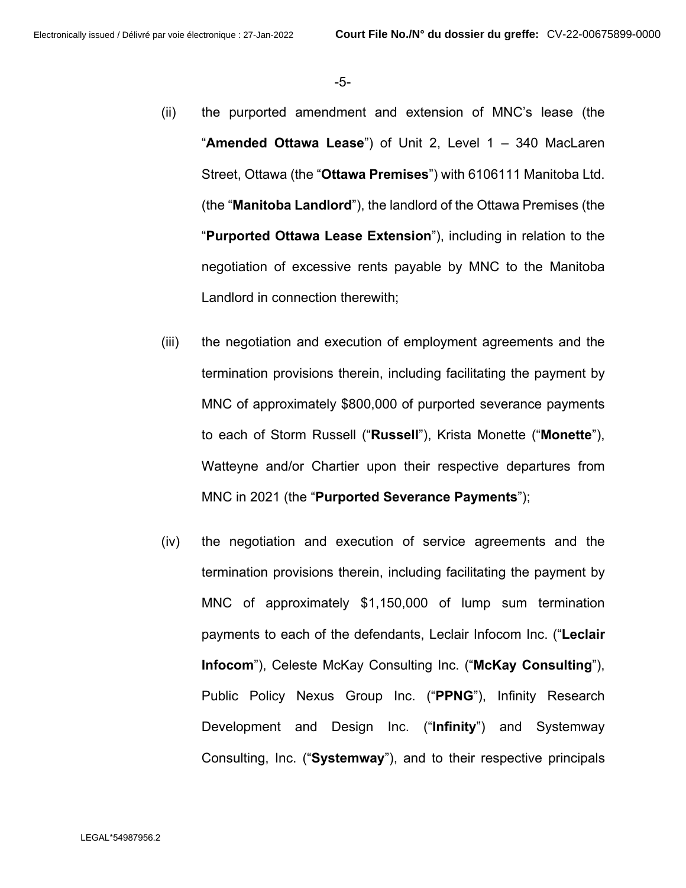-5-

- (ii) the purported amendment and extension of MNC's lease (the "**Amended Ottawa Lease**") of Unit 2, Level 1 – 340 MacLaren Street, Ottawa (the "**Ottawa Premises**") with 6106111 Manitoba Ltd. (the "**Manitoba Landlord**"), the landlord of the Ottawa Premises (the "**Purported Ottawa Lease Extension**"), including in relation to the negotiation of excessive rents payable by MNC to the Manitoba Landlord in connection therewith;
- (iii) the negotiation and execution of employment agreements and the termination provisions therein, including facilitating the payment by MNC of approximately \$800,000 of purported severance payments to each of Storm Russell ("**Russell**"), Krista Monette ("**Monette**"), Watteyne and/or Chartier upon their respective departures from MNC in 2021 (the "**Purported Severance Payments**");
- (iv) the negotiation and execution of service agreements and the termination provisions therein, including facilitating the payment by MNC of approximately \$1,150,000 of lump sum termination payments to each of the defendants, Leclair Infocom Inc. ("**Leclair Infocom**"), Celeste McKay Consulting Inc. ("**McKay Consulting**"), Public Policy Nexus Group Inc. ("**PPNG**"), Infinity Research Development and Design Inc. ("**Infinity**") and Systemway Consulting, Inc. ("**Systemway**"), and to their respective principals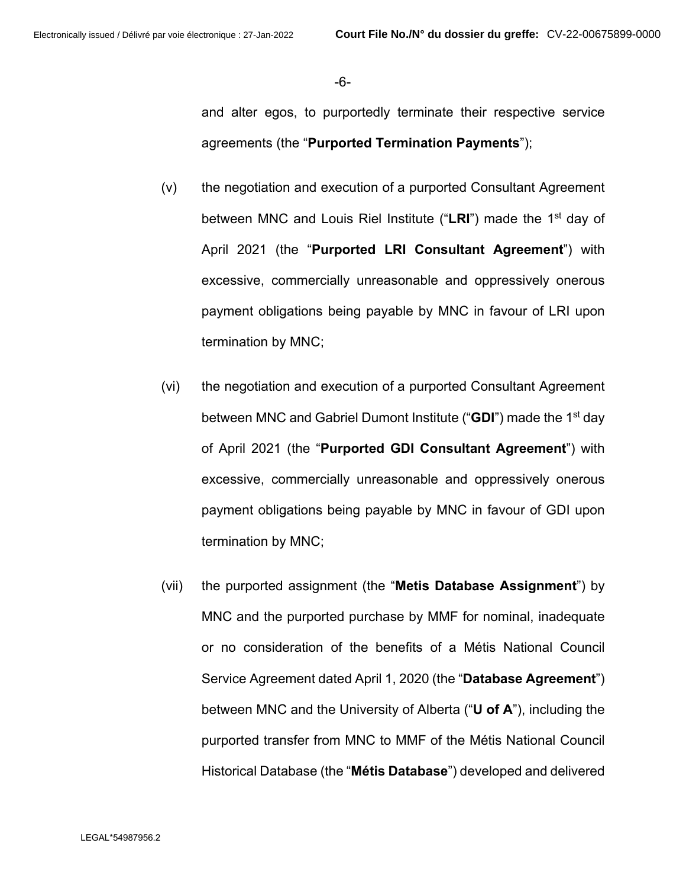-6-

and alter egos, to purportedly terminate their respective service agreements (the "**Purported Termination Payments**");

- (v) the negotiation and execution of a purported Consultant Agreement between MNC and Louis Riel Institute ("LRI") made the 1<sup>st</sup> day of April 2021 (the "**Purported LRI Consultant Agreement**") with excessive, commercially unreasonable and oppressively onerous payment obligations being payable by MNC in favour of LRI upon termination by MNC;
- (vi) the negotiation and execution of a purported Consultant Agreement between MNC and Gabriel Dumont Institute ("**GDI**") made the 1<sup>st</sup> day of April 2021 (the "**Purported GDI Consultant Agreement**") with excessive, commercially unreasonable and oppressively onerous payment obligations being payable by MNC in favour of GDI upon termination by MNC;
- (vii) the purported assignment (the "**Metis Database Assignment**") by MNC and the purported purchase by MMF for nominal, inadequate or no consideration of the benefits of a Métis National Council Service Agreement dated April 1, 2020 (the "**Database Agreement**") between MNC and the University of Alberta ("**U of A**"), including the purported transfer from MNC to MMF of the Métis National Council Historical Database (the "**Métis Database**") developed and delivered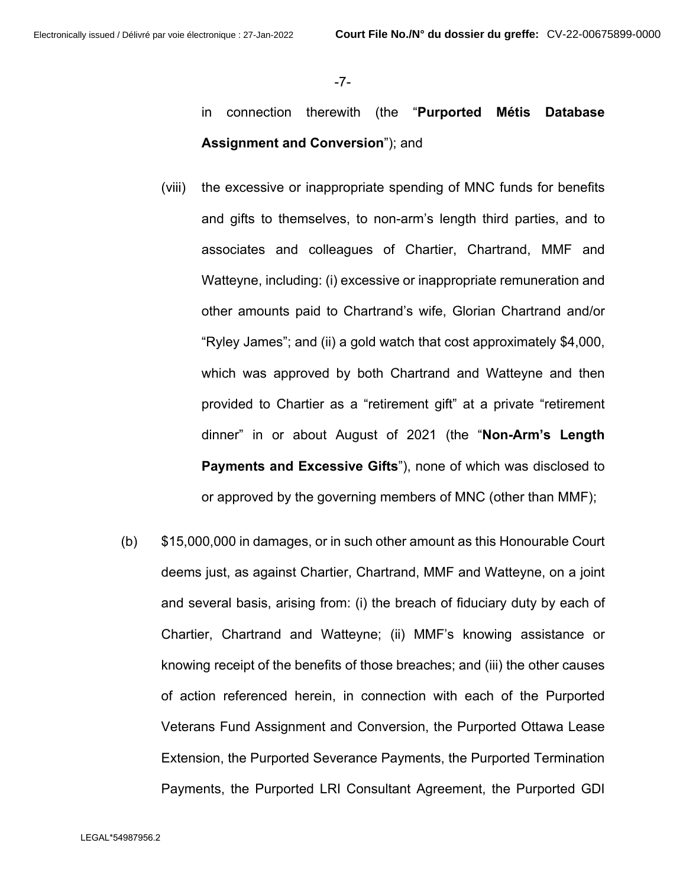-7-

- in connection therewith (the "**Purported Métis Database Assignment and Conversion**"); and
- (viii) the excessive or inappropriate spending of MNC funds for benefits and gifts to themselves, to non-arm's length third parties, and to associates and colleagues of Chartier, Chartrand, MMF and Watteyne, including: (i) excessive or inappropriate remuneration and other amounts paid to Chartrand's wife, Glorian Chartrand and/or "Ryley James"; and (ii) a gold watch that cost approximately \$4,000, which was approved by both Chartrand and Watteyne and then provided to Chartier as a "retirement gift" at a private "retirement dinner" in or about August of 2021 (the "**Non-Arm's Length Payments and Excessive Gifts**"), none of which was disclosed to or approved by the governing members of MNC (other than MMF);
- (b) \$15,000,000 in damages, or in such other amount as this Honourable Court deems just, as against Chartier, Chartrand, MMF and Watteyne, on a joint and several basis, arising from: (i) the breach of fiduciary duty by each of Chartier, Chartrand and Watteyne; (ii) MMF's knowing assistance or knowing receipt of the benefits of those breaches; and (iii) the other causes of action referenced herein, in connection with each of the Purported Veterans Fund Assignment and Conversion, the Purported Ottawa Lease Extension, the Purported Severance Payments, the Purported Termination Payments, the Purported LRI Consultant Agreement, the Purported GDI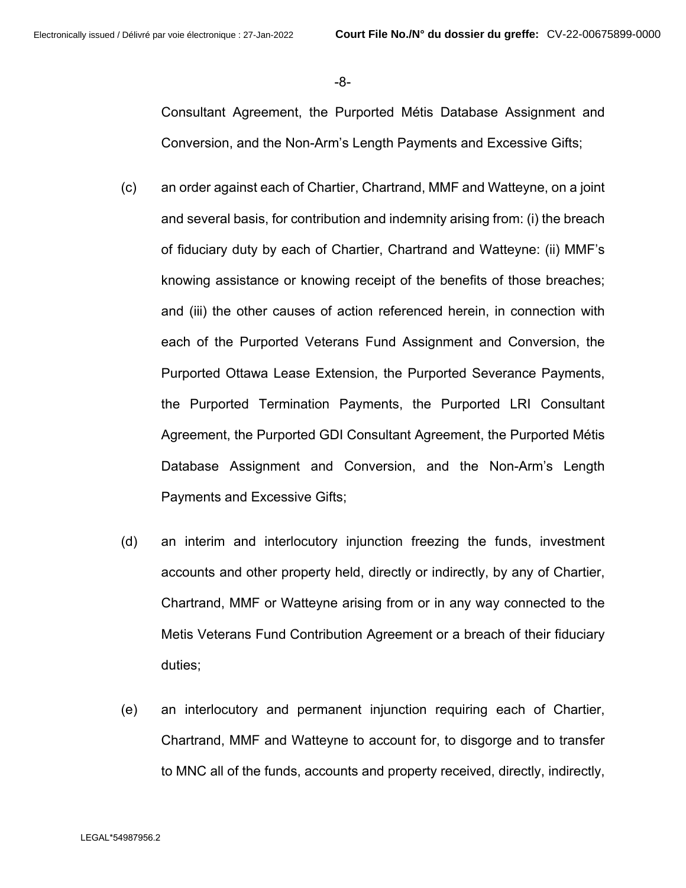-8-

Consultant Agreement, the Purported Métis Database Assignment and Conversion, and the Non-Arm's Length Payments and Excessive Gifts;

- (c) an order against each of Chartier, Chartrand, MMF and Watteyne, on a joint and several basis, for contribution and indemnity arising from: (i) the breach of fiduciary duty by each of Chartier, Chartrand and Watteyne: (ii) MMF's knowing assistance or knowing receipt of the benefits of those breaches; and (iii) the other causes of action referenced herein, in connection with each of the Purported Veterans Fund Assignment and Conversion, the Purported Ottawa Lease Extension, the Purported Severance Payments, the Purported Termination Payments, the Purported LRI Consultant Agreement, the Purported GDI Consultant Agreement, the Purported Métis Database Assignment and Conversion, and the Non-Arm's Length Payments and Excessive Gifts;
- (d) an interim and interlocutory injunction freezing the funds, investment accounts and other property held, directly or indirectly, by any of Chartier, Chartrand, MMF or Watteyne arising from or in any way connected to the Metis Veterans Fund Contribution Agreement or a breach of their fiduciary duties;
- (e) an interlocutory and permanent injunction requiring each of Chartier, Chartrand, MMF and Watteyne to account for, to disgorge and to transfer to MNC all of the funds, accounts and property received, directly, indirectly,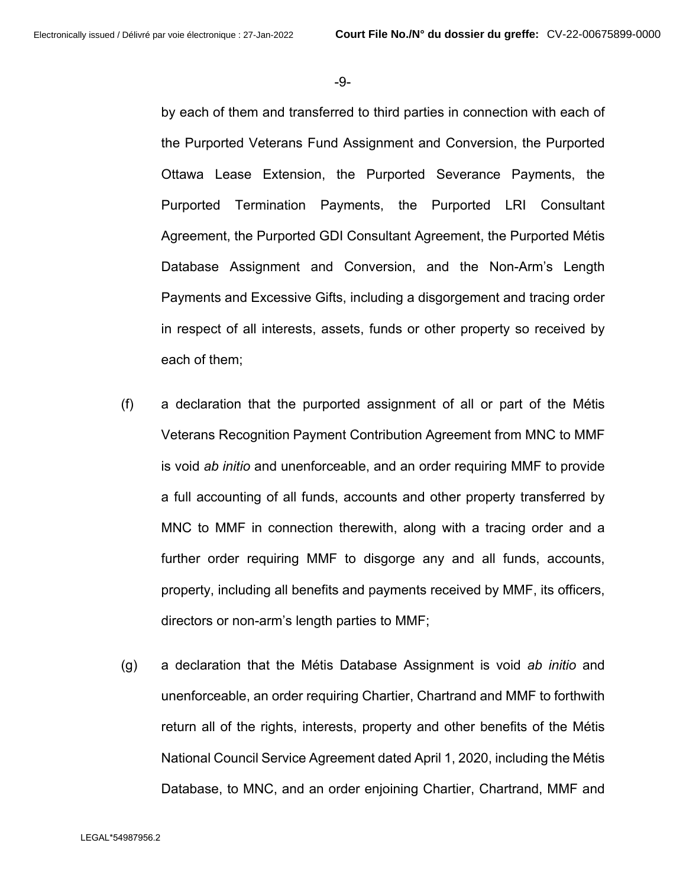-9-

by each of them and transferred to third parties in connection with each of the Purported Veterans Fund Assignment and Conversion, the Purported Ottawa Lease Extension, the Purported Severance Payments, the Purported Termination Payments, the Purported LRI Consultant Agreement, the Purported GDI Consultant Agreement, the Purported Métis Database Assignment and Conversion, and the Non-Arm's Length Payments and Excessive Gifts, including a disgorgement and tracing order in respect of all interests, assets, funds or other property so received by each of them;

- (f) a declaration that the purported assignment of all or part of the Métis Veterans Recognition Payment Contribution Agreement from MNC to MMF is void *ab initio* and unenforceable, and an order requiring MMF to provide a full accounting of all funds, accounts and other property transferred by MNC to MMF in connection therewith, along with a tracing order and a further order requiring MMF to disgorge any and all funds, accounts, property, including all benefits and payments received by MMF, its officers, directors or non-arm's length parties to MMF;
- (g) a declaration that the Métis Database Assignment is void *ab initio* and unenforceable, an order requiring Chartier, Chartrand and MMF to forthwith return all of the rights, interests, property and other benefits of the Métis National Council Service Agreement dated April 1, 2020, including the Métis Database, to MNC, and an order enjoining Chartier, Chartrand, MMF and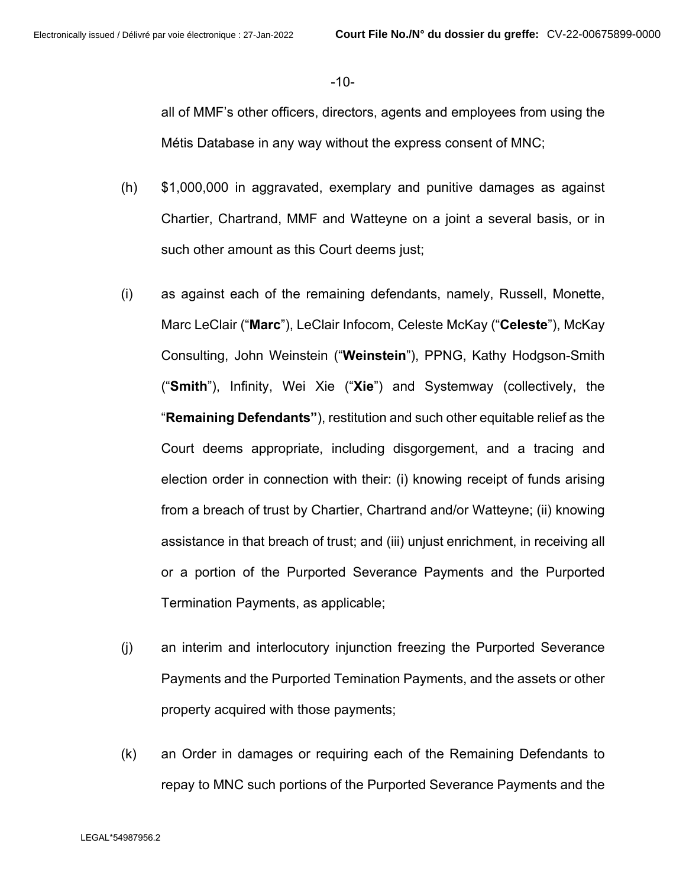-10-

all of MMF's other officers, directors, agents and employees from using the Métis Database in any way without the express consent of MNC;

- (h) \$1,000,000 in aggravated, exemplary and punitive damages as against Chartier, Chartrand, MMF and Watteyne on a joint a several basis, or in such other amount as this Court deems just;
- (i) as against each of the remaining defendants, namely, Russell, Monette, Marc LeClair ("**Marc**"), LeClair Infocom, Celeste McKay ("**Celeste**"), McKay Consulting, John Weinstein ("**Weinstein**"), PPNG, Kathy Hodgson-Smith ("**Smith**"), Infinity, Wei Xie ("**Xie**") and Systemway (collectively, the "**Remaining Defendants"**), restitution and such other equitable relief as the Court deems appropriate, including disgorgement, and a tracing and election order in connection with their: (i) knowing receipt of funds arising from a breach of trust by Chartier, Chartrand and/or Watteyne; (ii) knowing assistance in that breach of trust; and (iii) unjust enrichment, in receiving all or a portion of the Purported Severance Payments and the Purported Termination Payments, as applicable;
- (j) an interim and interlocutory injunction freezing the Purported Severance Payments and the Purported Temination Payments, and the assets or other property acquired with those payments;
- (k) an Order in damages or requiring each of the Remaining Defendants to repay to MNC such portions of the Purported Severance Payments and the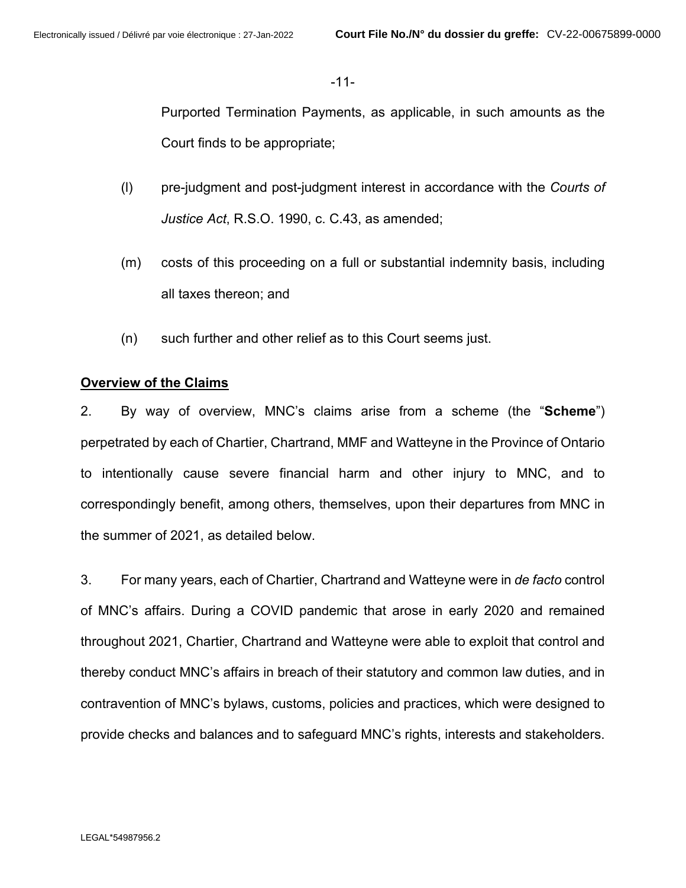-11-

Purported Termination Payments, as applicable, in such amounts as the Court finds to be appropriate;

- (l) pre-judgment and post-judgment interest in accordance with the *Courts of Justice Act*, R.S.O. 1990, c. C.43, as amended;
- (m) costs of this proceeding on a full or substantial indemnity basis, including all taxes thereon; and
- (n) such further and other relief as to this Court seems just.

## **Overview of the Claims**

2. By way of overview, MNC's claims arise from a scheme (the "**Scheme**") perpetrated by each of Chartier, Chartrand, MMF and Watteyne in the Province of Ontario to intentionally cause severe financial harm and other injury to MNC, and to correspondingly benefit, among others, themselves, upon their departures from MNC in the summer of 2021, as detailed below.

3. For many years, each of Chartier, Chartrand and Watteyne were in *de facto* control of MNC's affairs. During a COVID pandemic that arose in early 2020 and remained throughout 2021, Chartier, Chartrand and Watteyne were able to exploit that control and thereby conduct MNC's affairs in breach of their statutory and common law duties, and in contravention of MNC's bylaws, customs, policies and practices, which were designed to provide checks and balances and to safeguard MNC's rights, interests and stakeholders.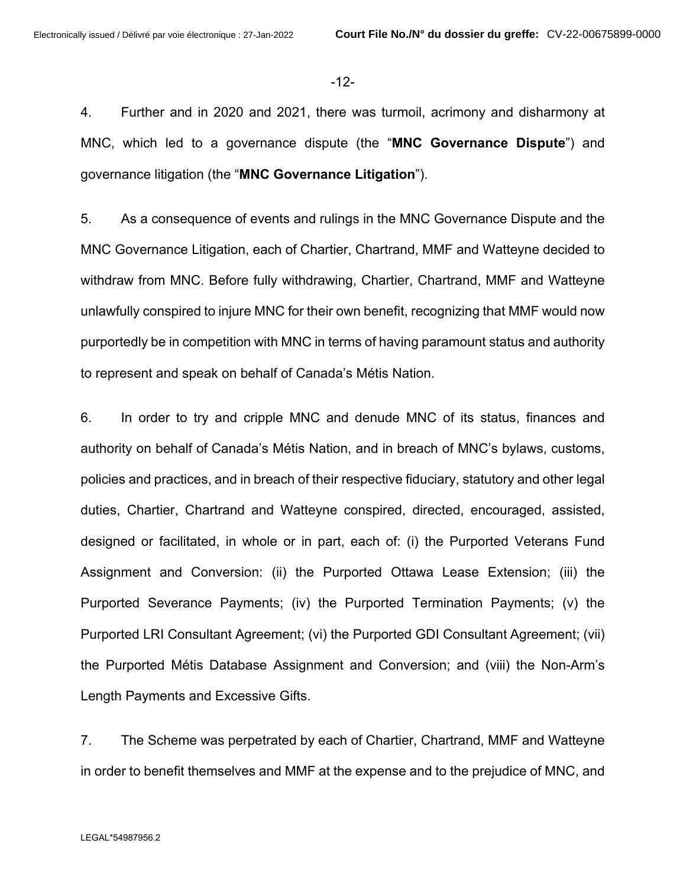-12-

4. Further and in 2020 and 2021, there was turmoil, acrimony and disharmony at MNC, which led to a governance dispute (the "**MNC Governance Dispute**") and governance litigation (the "**MNC Governance Litigation**").

5. As a consequence of events and rulings in the MNC Governance Dispute and the MNC Governance Litigation, each of Chartier, Chartrand, MMF and Watteyne decided to withdraw from MNC. Before fully withdrawing, Chartier, Chartrand, MMF and Watteyne unlawfully conspired to injure MNC for their own benefit, recognizing that MMF would now purportedly be in competition with MNC in terms of having paramount status and authority to represent and speak on behalf of Canada's Métis Nation.

6. In order to try and cripple MNC and denude MNC of its status, finances and authority on behalf of Canada's Métis Nation, and in breach of MNC's bylaws, customs, policies and practices, and in breach of their respective fiduciary, statutory and other legal duties, Chartier, Chartrand and Watteyne conspired, directed, encouraged, assisted, designed or facilitated, in whole or in part, each of: (i) the Purported Veterans Fund Assignment and Conversion: (ii) the Purported Ottawa Lease Extension; (iii) the Purported Severance Payments; (iv) the Purported Termination Payments; (v) the Purported LRI Consultant Agreement; (vi) the Purported GDI Consultant Agreement; (vii) the Purported Métis Database Assignment and Conversion; and (viii) the Non-Arm's Length Payments and Excessive Gifts.

7. The Scheme was perpetrated by each of Chartier, Chartrand, MMF and Watteyne in order to benefit themselves and MMF at the expense and to the prejudice of MNC, and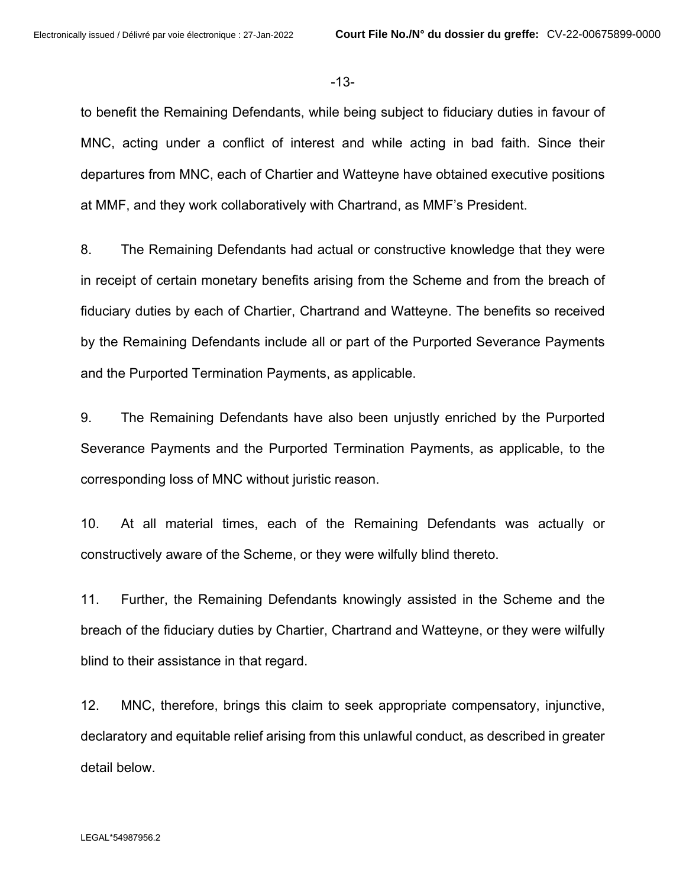-13-

to benefit the Remaining Defendants, while being subject to fiduciary duties in favour of MNC, acting under a conflict of interest and while acting in bad faith. Since their departures from MNC, each of Chartier and Watteyne have obtained executive positions at MMF, and they work collaboratively with Chartrand, as MMF's President.

8. The Remaining Defendants had actual or constructive knowledge that they were in receipt of certain monetary benefits arising from the Scheme and from the breach of fiduciary duties by each of Chartier, Chartrand and Watteyne. The benefits so received by the Remaining Defendants include all or part of the Purported Severance Payments and the Purported Termination Payments, as applicable.

9. The Remaining Defendants have also been unjustly enriched by the Purported Severance Payments and the Purported Termination Payments, as applicable, to the corresponding loss of MNC without juristic reason.

10. At all material times, each of the Remaining Defendants was actually or constructively aware of the Scheme, or they were wilfully blind thereto.

11. Further, the Remaining Defendants knowingly assisted in the Scheme and the breach of the fiduciary duties by Chartier, Chartrand and Watteyne, or they were wilfully blind to their assistance in that regard.

12. MNC, therefore, brings this claim to seek appropriate compensatory, injunctive, declaratory and equitable relief arising from this unlawful conduct, as described in greater detail below.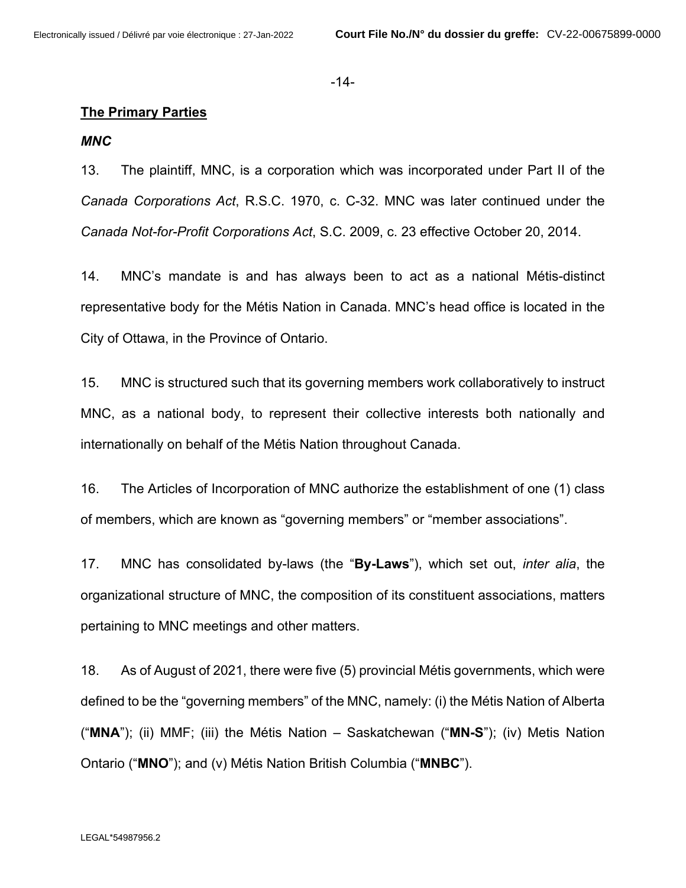-14-

#### **The Primary Parties**

#### *MNC*

13. The plaintiff, MNC, is a corporation which was incorporated under Part II of the *Canada Corporations Act*, R.S.C. 1970, c. C-32. MNC was later continued under the *Canada Not-for-Profit Corporations Act*, S.C. 2009, c. 23 effective October 20, 2014.

14. MNC's mandate is and has always been to act as a national Métis-distinct representative body for the Métis Nation in Canada. MNC's head office is located in the City of Ottawa, in the Province of Ontario.

15. MNC is structured such that its governing members work collaboratively to instruct MNC, as a national body, to represent their collective interests both nationally and internationally on behalf of the Métis Nation throughout Canada.

16. The Articles of Incorporation of MNC authorize the establishment of one (1) class of members, which are known as "governing members" or "member associations".

17. MNC has consolidated by-laws (the "**By-Laws**"), which set out, *inter alia*, the organizational structure of MNC, the composition of its constituent associations, matters pertaining to MNC meetings and other matters.

18. As of August of 2021, there were five (5) provincial Métis governments, which were defined to be the "governing members" of the MNC, namely: (i) the Métis Nation of Alberta ("**MNA**"); (ii) MMF; (iii) the Métis Nation – Saskatchewan ("**MN-S**"); (iv) Metis Nation Ontario ("**MNO**"); and (v) Métis Nation British Columbia ("**MNBC**").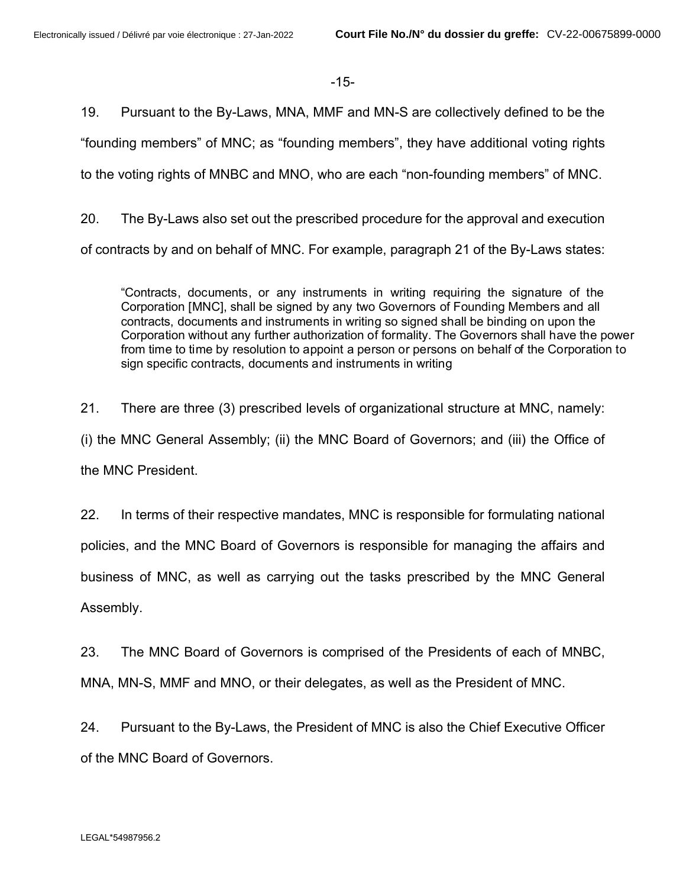-15-

19. Pursuant to the By-Laws, MNA, MMF and MN-S are collectively defined to be the "founding members" of MNC; as "founding members", they have additional voting rights to the voting rights of MNBC and MNO, who are each "non-founding members" of MNC.

20. The By-Laws also set out the prescribed procedure for the approval and execution of contracts by and on behalf of MNC. For example, paragraph 21 of the By-Laws states:

"Contracts, documents, or any instruments in writing requiring the signature of the Corporation [MNC], shall be signed by any two Governors of Founding Members and all contracts, documents and instruments in writing so signed shall be binding on upon the Corporation without any further authorization of formality. The Governors shall have the power from time to time by resolution to appoint a person or persons on behalf of the Corporation to sign specific contracts, documents and instruments in writing

21. There are three (3) prescribed levels of organizational structure at MNC, namely: (i) the MNC General Assembly; (ii) the MNC Board of Governors; and (iii) the Office of the MNC President.

22. In terms of their respective mandates, MNC is responsible for formulating national policies, and the MNC Board of Governors is responsible for managing the affairs and business of MNC, as well as carrying out the tasks prescribed by the MNC General Assembly.

23. The MNC Board of Governors is comprised of the Presidents of each of MNBC, MNA, MN-S, MMF and MNO, or their delegates, as well as the President of MNC.

24. Pursuant to the By-Laws, the President of MNC is also the Chief Executive Officer of the MNC Board of Governors.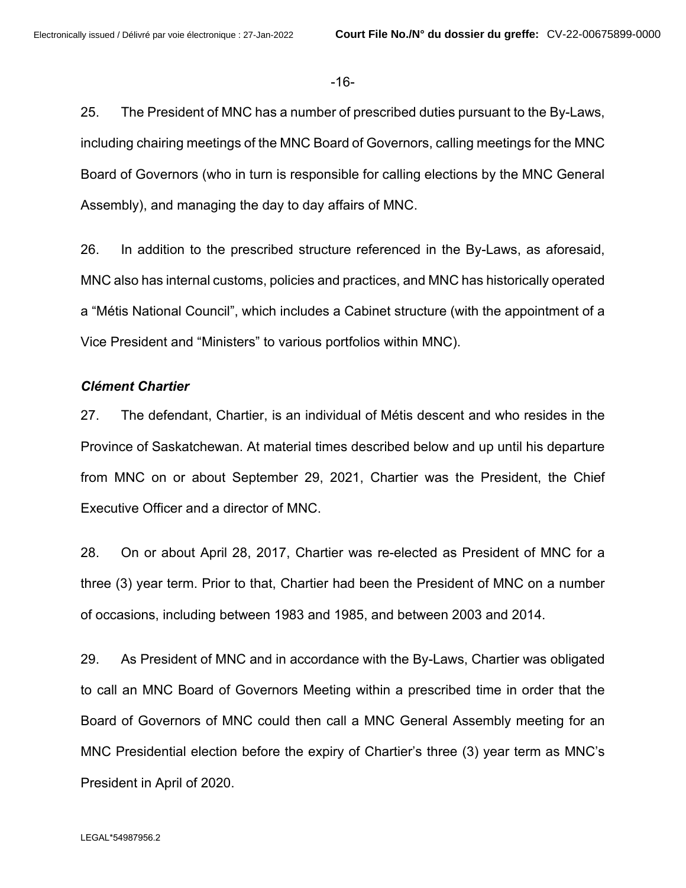-16-

25. The President of MNC has a number of prescribed duties pursuant to the By-Laws, including chairing meetings of the MNC Board of Governors, calling meetings for the MNC Board of Governors (who in turn is responsible for calling elections by the MNC General Assembly), and managing the day to day affairs of MNC.

26. In addition to the prescribed structure referenced in the By-Laws, as aforesaid, MNC also has internal customs, policies and practices, and MNC has historically operated a "Métis National Council", which includes a Cabinet structure (with the appointment of a Vice President and "Ministers" to various portfolios within MNC).

## *Clément Chartier*

27. The defendant, Chartier, is an individual of Métis descent and who resides in the Province of Saskatchewan. At material times described below and up until his departure from MNC on or about September 29, 2021, Chartier was the President, the Chief Executive Officer and a director of MNC.

28. On or about April 28, 2017, Chartier was re-elected as President of MNC for a three (3) year term. Prior to that, Chartier had been the President of MNC on a number of occasions, including between 1983 and 1985, and between 2003 and 2014.

29. As President of MNC and in accordance with the By-Laws, Chartier was obligated to call an MNC Board of Governors Meeting within a prescribed time in order that the Board of Governors of MNC could then call a MNC General Assembly meeting for an MNC Presidential election before the expiry of Chartier's three (3) year term as MNC's President in April of 2020.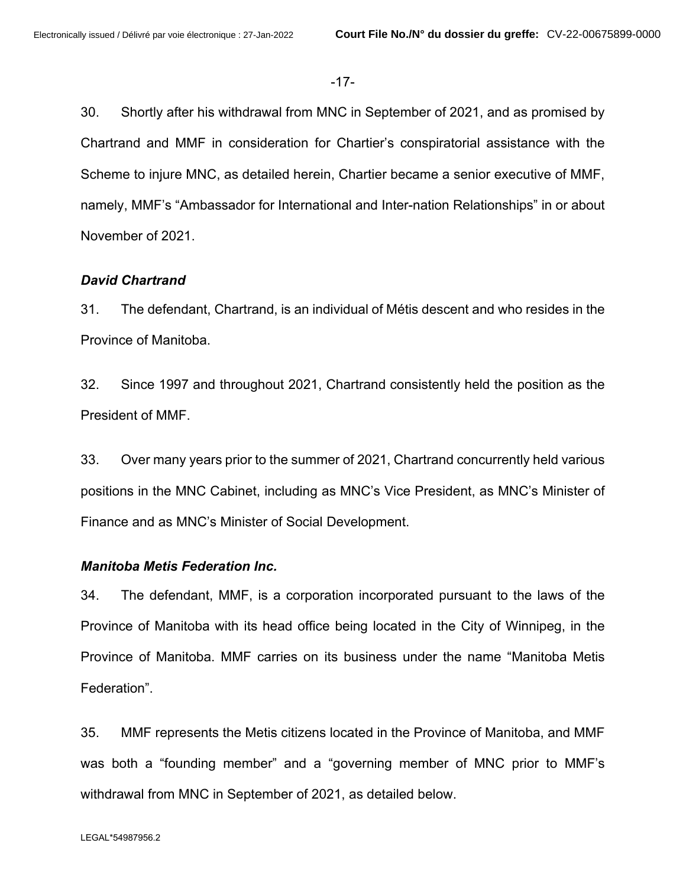-17-

30. Shortly after his withdrawal from MNC in September of 2021, and as promised by Chartrand and MMF in consideration for Chartier's conspiratorial assistance with the Scheme to injure MNC, as detailed herein, Chartier became a senior executive of MMF, namely, MMF's "Ambassador for International and Inter-nation Relationships" in or about November of 2021.

## *David Chartrand*

31. The defendant, Chartrand, is an individual of Métis descent and who resides in the Province of Manitoba.

32. Since 1997 and throughout 2021, Chartrand consistently held the position as the President of MMF.

33. Over many years prior to the summer of 2021, Chartrand concurrently held various positions in the MNC Cabinet, including as MNC's Vice President, as MNC's Minister of Finance and as MNC's Minister of Social Development.

#### *Manitoba Metis Federation Inc.*

34. The defendant, MMF, is a corporation incorporated pursuant to the laws of the Province of Manitoba with its head office being located in the City of Winnipeg, in the Province of Manitoba. MMF carries on its business under the name "Manitoba Metis Federation".

35. MMF represents the Metis citizens located in the Province of Manitoba, and MMF was both a "founding member" and a "governing member of MNC prior to MMF's withdrawal from MNC in September of 2021, as detailed below.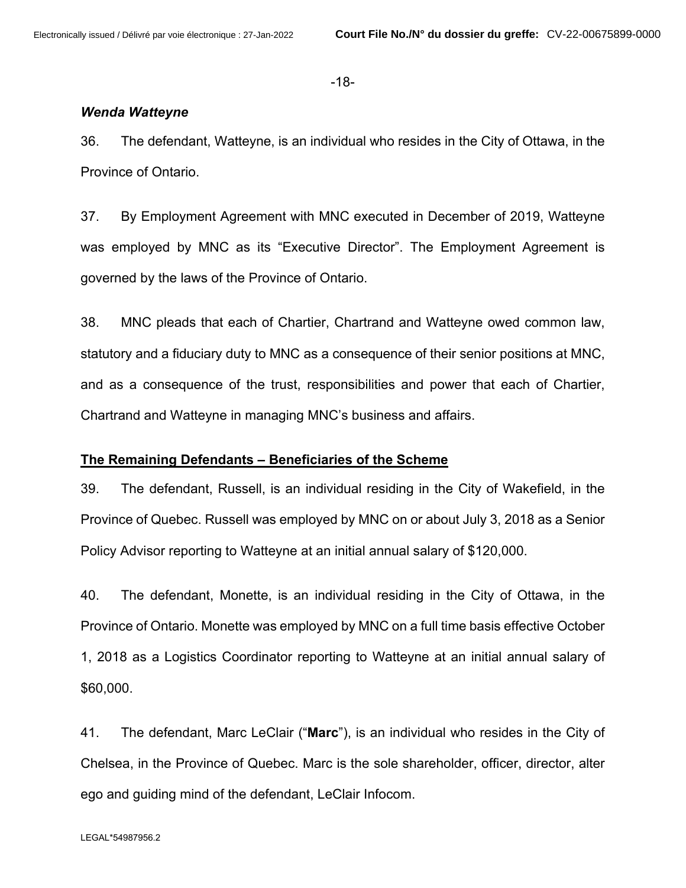-18-

#### *Wenda Watteyne*

36. The defendant, Watteyne, is an individual who resides in the City of Ottawa, in the Province of Ontario.

37. By Employment Agreement with MNC executed in December of 2019, Watteyne was employed by MNC as its "Executive Director". The Employment Agreement is governed by the laws of the Province of Ontario.

38. MNC pleads that each of Chartier, Chartrand and Watteyne owed common law, statutory and a fiduciary duty to MNC as a consequence of their senior positions at MNC, and as a consequence of the trust, responsibilities and power that each of Chartier, Chartrand and Watteyne in managing MNC's business and affairs.

## **The Remaining Defendants – Beneficiaries of the Scheme**

39. The defendant, Russell, is an individual residing in the City of Wakefield, in the Province of Quebec. Russell was employed by MNC on or about July 3, 2018 as a Senior Policy Advisor reporting to Watteyne at an initial annual salary of \$120,000.

40. The defendant, Monette, is an individual residing in the City of Ottawa, in the Province of Ontario. Monette was employed by MNC on a full time basis effective October 1, 2018 as a Logistics Coordinator reporting to Watteyne at an initial annual salary of \$60,000.

41. The defendant, Marc LeClair ("**Marc**"), is an individual who resides in the City of Chelsea, in the Province of Quebec. Marc is the sole shareholder, officer, director, alter ego and guiding mind of the defendant, LeClair Infocom.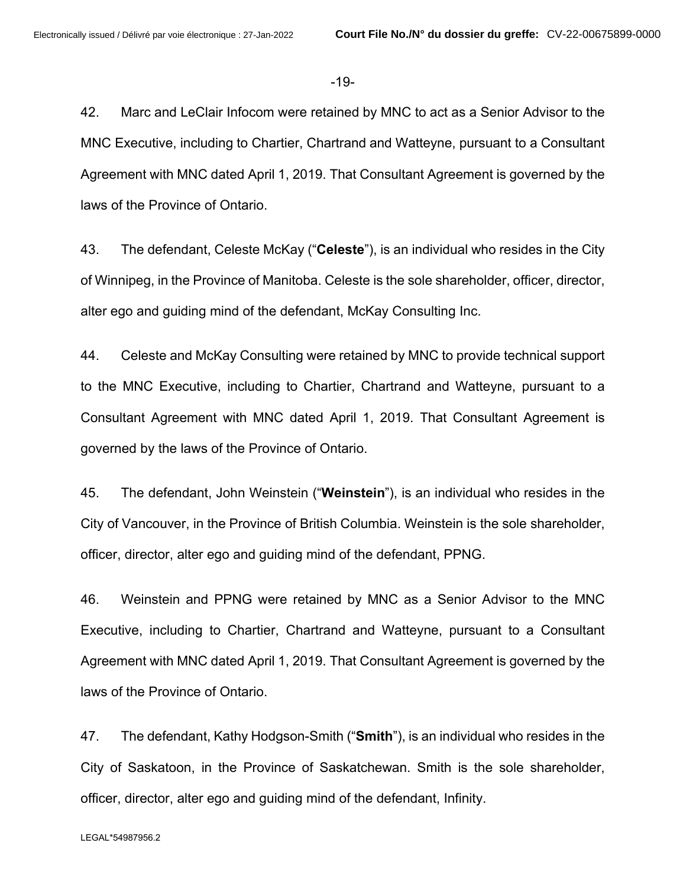-19-

42. Marc and LeClair Infocom were retained by MNC to act as a Senior Advisor to the MNC Executive, including to Chartier, Chartrand and Watteyne, pursuant to a Consultant Agreement with MNC dated April 1, 2019. That Consultant Agreement is governed by the laws of the Province of Ontario.

43. The defendant, Celeste McKay ("**Celeste**"), is an individual who resides in the City of Winnipeg, in the Province of Manitoba. Celeste is the sole shareholder, officer, director, alter ego and guiding mind of the defendant, McKay Consulting Inc.

44. Celeste and McKay Consulting were retained by MNC to provide technical support to the MNC Executive, including to Chartier, Chartrand and Watteyne, pursuant to a Consultant Agreement with MNC dated April 1, 2019. That Consultant Agreement is governed by the laws of the Province of Ontario.

45. The defendant, John Weinstein ("**Weinstein**"), is an individual who resides in the City of Vancouver, in the Province of British Columbia. Weinstein is the sole shareholder, officer, director, alter ego and guiding mind of the defendant, PPNG.

46. Weinstein and PPNG were retained by MNC as a Senior Advisor to the MNC Executive, including to Chartier, Chartrand and Watteyne, pursuant to a Consultant Agreement with MNC dated April 1, 2019. That Consultant Agreement is governed by the laws of the Province of Ontario.

47. The defendant, Kathy Hodgson-Smith ("**Smith**"), is an individual who resides in the City of Saskatoon, in the Province of Saskatchewan. Smith is the sole shareholder, officer, director, alter ego and guiding mind of the defendant, Infinity.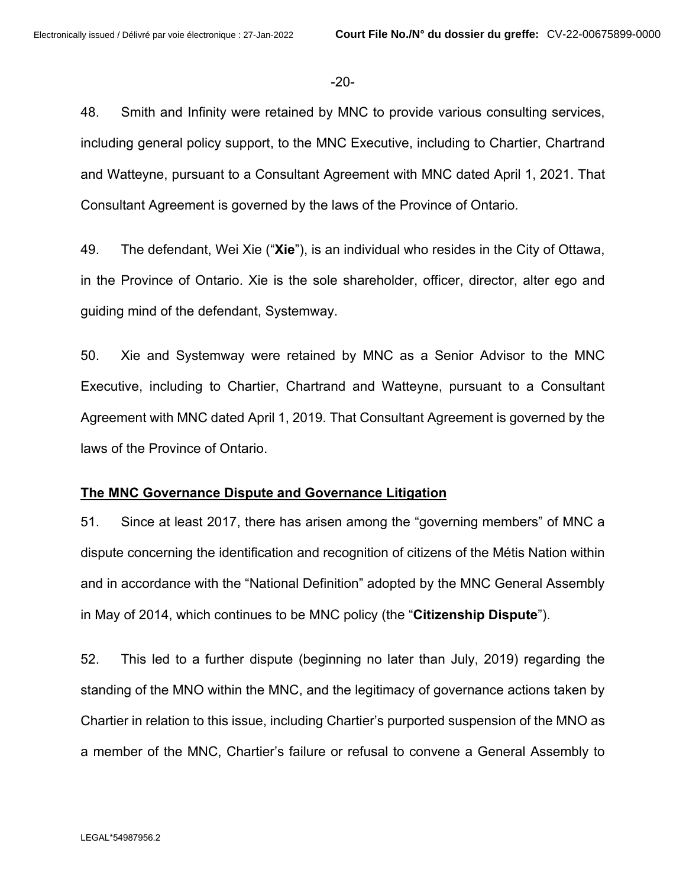-20-

48. Smith and Infinity were retained by MNC to provide various consulting services, including general policy support, to the MNC Executive, including to Chartier, Chartrand and Watteyne, pursuant to a Consultant Agreement with MNC dated April 1, 2021. That Consultant Agreement is governed by the laws of the Province of Ontario.

49. The defendant, Wei Xie ("**Xie**"), is an individual who resides in the City of Ottawa, in the Province of Ontario. Xie is the sole shareholder, officer, director, alter ego and guiding mind of the defendant, Systemway.

50. Xie and Systemway were retained by MNC as a Senior Advisor to the MNC Executive, including to Chartier, Chartrand and Watteyne, pursuant to a Consultant Agreement with MNC dated April 1, 2019. That Consultant Agreement is governed by the laws of the Province of Ontario.

## **The MNC Governance Dispute and Governance Litigation**

51. Since at least 2017, there has arisen among the "governing members" of MNC a dispute concerning the identification and recognition of citizens of the Métis Nation within and in accordance with the "National Definition" adopted by the MNC General Assembly in May of 2014, which continues to be MNC policy (the "**Citizenship Dispute**").

52. This led to a further dispute (beginning no later than July, 2019) regarding the standing of the MNO within the MNC, and the legitimacy of governance actions taken by Chartier in relation to this issue, including Chartier's purported suspension of the MNO as a member of the MNC, Chartier's failure or refusal to convene a General Assembly to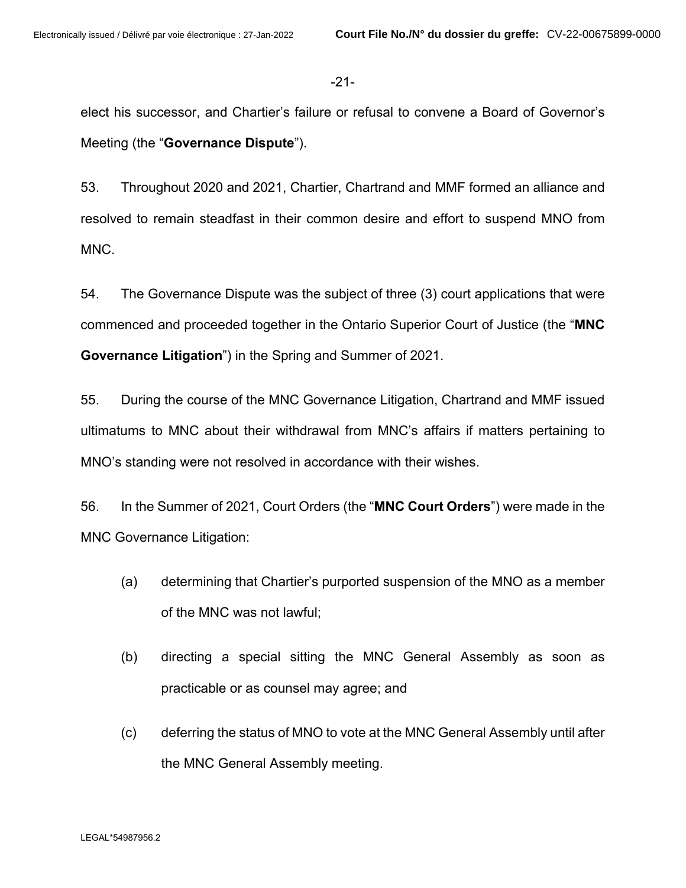-21-

elect his successor, and Chartier's failure or refusal to convene a Board of Governor's Meeting (the "**Governance Dispute**").

53. Throughout 2020 and 2021, Chartier, Chartrand and MMF formed an alliance and resolved to remain steadfast in their common desire and effort to suspend MNO from MNC.

54. The Governance Dispute was the subject of three (3) court applications that were commenced and proceeded together in the Ontario Superior Court of Justice (the "**MNC Governance Litigation**") in the Spring and Summer of 2021.

55. During the course of the MNC Governance Litigation, Chartrand and MMF issued ultimatums to MNC about their withdrawal from MNC's affairs if matters pertaining to MNO's standing were not resolved in accordance with their wishes.

56. In the Summer of 2021, Court Orders (the "**MNC Court Orders**") were made in the MNC Governance Litigation:

- (a) determining that Chartier's purported suspension of the MNO as a member of the MNC was not lawful;
- (b) directing a special sitting the MNC General Assembly as soon as practicable or as counsel may agree; and
- (c) deferring the status of MNO to vote at the MNC General Assembly until after the MNC General Assembly meeting.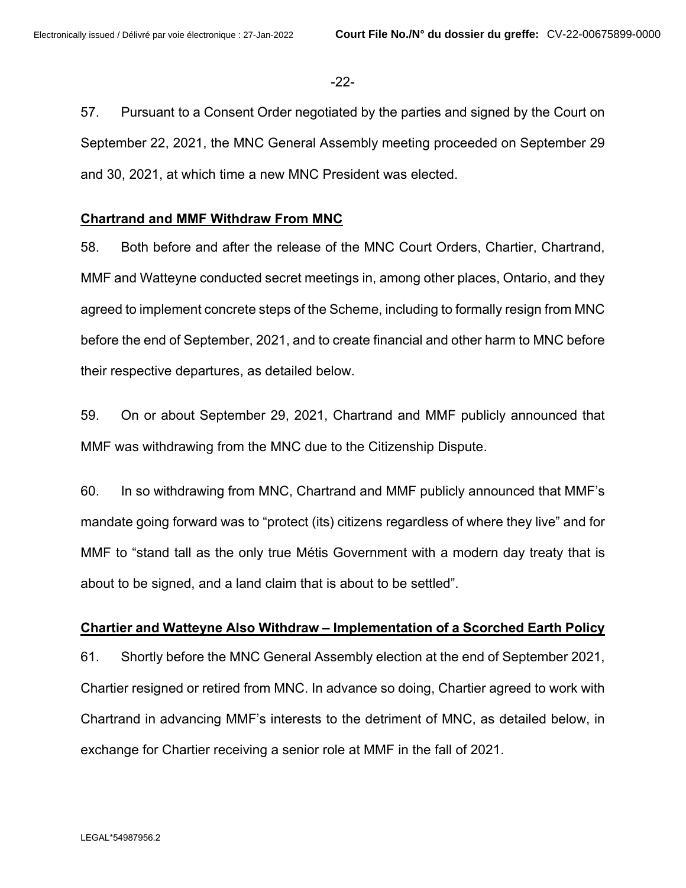-22-

57. Pursuant to a Consent Order negotiated by the parties and signed by the Court on September 22, 2021, the MNC General Assembly meeting proceeded on September 29 and 30, 2021, at which time a new MNC President was elected.

## **Chartrand and MMF Withdraw From MNC**

58. Both before and after the release of the MNC Court Orders, Chartier, Chartrand, MMF and Watteyne conducted secret meetings in, among other places, Ontario, and they agreed to implement concrete steps of the Scheme, including to formally resign from MNC before the end of September, 2021, and to create financial and other harm to MNC before their respective departures, as detailed below.

59. On or about September 29, 2021, Chartrand and MMF publicly announced that MMF was withdrawing from the MNC due to the Citizenship Dispute.

60. In so withdrawing from MNC, Chartrand and MMF publicly announced that MMF's mandate going forward was to "protect (its) citizens regardless of where they live" and for MMF to "stand tall as the only true Métis Government with a modern day treaty that is about to be signed, and a land claim that is about to be settled".

## **Chartier and Watteyne Also Withdraw – Implementation of a Scorched Earth Policy**

61. Shortly before the MNC General Assembly election at the end of September 2021, Chartier resigned or retired from MNC. In advance so doing, Chartier agreed to work with Chartrand in advancing MMF's interests to the detriment of MNC, as detailed below, in exchange for Chartier receiving a senior role at MMF in the fall of 2021.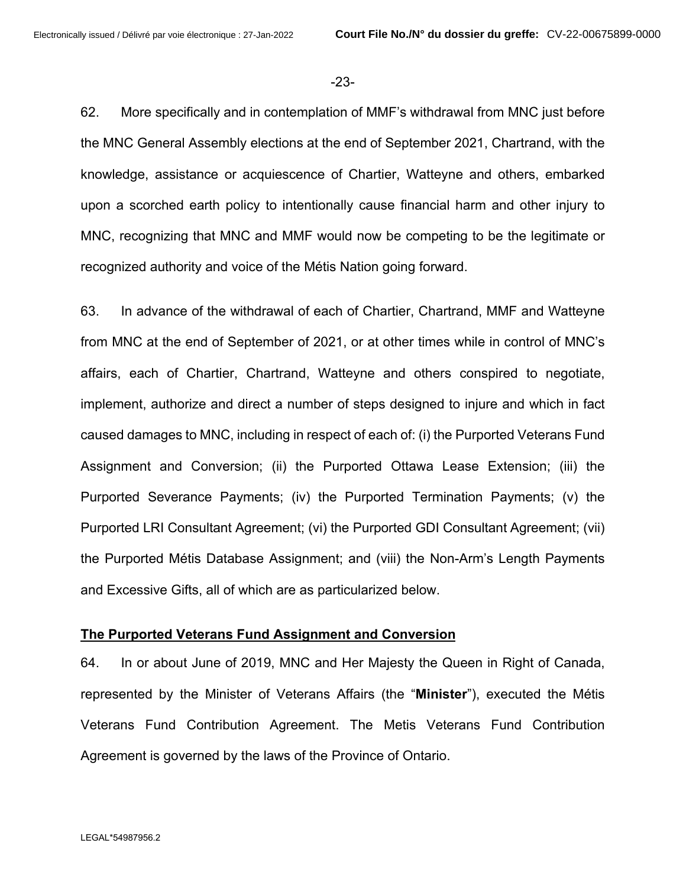-23-

62. More specifically and in contemplation of MMF's withdrawal from MNC just before the MNC General Assembly elections at the end of September 2021, Chartrand, with the knowledge, assistance or acquiescence of Chartier, Watteyne and others, embarked upon a scorched earth policy to intentionally cause financial harm and other injury to MNC, recognizing that MNC and MMF would now be competing to be the legitimate or recognized authority and voice of the Métis Nation going forward.

63. In advance of the withdrawal of each of Chartier, Chartrand, MMF and Watteyne from MNC at the end of September of 2021, or at other times while in control of MNC's affairs, each of Chartier, Chartrand, Watteyne and others conspired to negotiate, implement, authorize and direct a number of steps designed to injure and which in fact caused damages to MNC, including in respect of each of: (i) the Purported Veterans Fund Assignment and Conversion; (ii) the Purported Ottawa Lease Extension; (iii) the Purported Severance Payments; (iv) the Purported Termination Payments; (v) the Purported LRI Consultant Agreement; (vi) the Purported GDI Consultant Agreement; (vii) the Purported Métis Database Assignment; and (viii) the Non-Arm's Length Payments and Excessive Gifts, all of which are as particularized below.

#### **The Purported Veterans Fund Assignment and Conversion**

64. In or about June of 2019, MNC and Her Majesty the Queen in Right of Canada, represented by the Minister of Veterans Affairs (the "**Minister**"), executed the Métis Veterans Fund Contribution Agreement. The Metis Veterans Fund Contribution Agreement is governed by the laws of the Province of Ontario.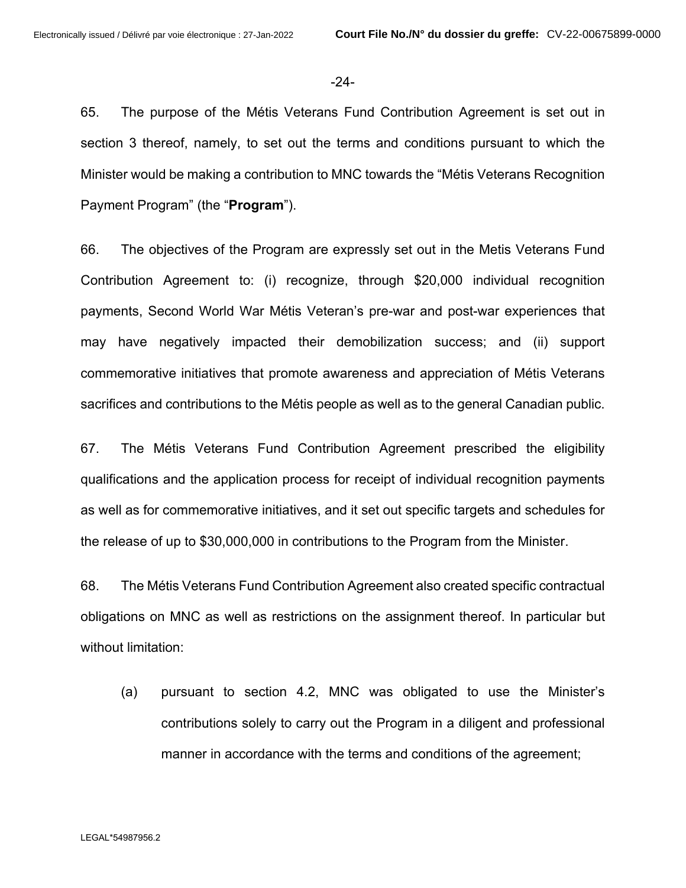-24-

65. The purpose of the Métis Veterans Fund Contribution Agreement is set out in section 3 thereof, namely, to set out the terms and conditions pursuant to which the Minister would be making a contribution to MNC towards the "Métis Veterans Recognition Payment Program" (the "**Program**").

66. The objectives of the Program are expressly set out in the Metis Veterans Fund Contribution Agreement to: (i) recognize, through \$20,000 individual recognition payments, Second World War Métis Veteran's pre-war and post-war experiences that may have negatively impacted their demobilization success; and (ii) support commemorative initiatives that promote awareness and appreciation of Métis Veterans sacrifices and contributions to the Métis people as well as to the general Canadian public.

67. The Métis Veterans Fund Contribution Agreement prescribed the eligibility qualifications and the application process for receipt of individual recognition payments as well as for commemorative initiatives, and it set out specific targets and schedules for the release of up to \$30,000,000 in contributions to the Program from the Minister.

68. The Métis Veterans Fund Contribution Agreement also created specific contractual obligations on MNC as well as restrictions on the assignment thereof. In particular but without limitation:

(a) pursuant to section 4.2, MNC was obligated to use the Minister's contributions solely to carry out the Program in a diligent and professional manner in accordance with the terms and conditions of the agreement;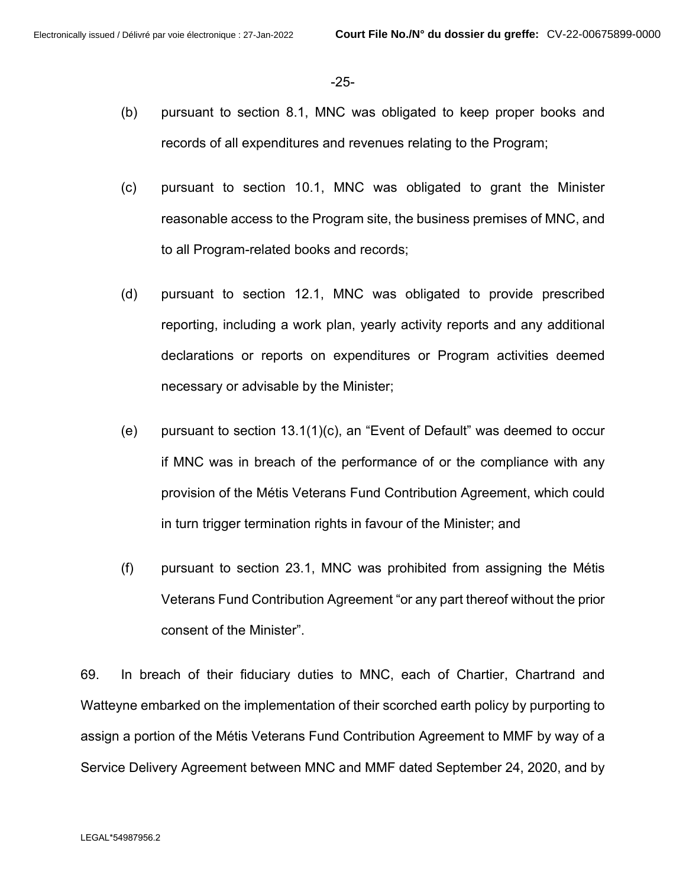-25-

- (b) pursuant to section 8.1, MNC was obligated to keep proper books and records of all expenditures and revenues relating to the Program;
- (c) pursuant to section 10.1, MNC was obligated to grant the Minister reasonable access to the Program site, the business premises of MNC, and to all Program-related books and records;
- (d) pursuant to section 12.1, MNC was obligated to provide prescribed reporting, including a work plan, yearly activity reports and any additional declarations or reports on expenditures or Program activities deemed necessary or advisable by the Minister;
- (e) pursuant to section 13.1(1)(c), an "Event of Default" was deemed to occur if MNC was in breach of the performance of or the compliance with any provision of the Métis Veterans Fund Contribution Agreement, which could in turn trigger termination rights in favour of the Minister; and
- (f) pursuant to section 23.1, MNC was prohibited from assigning the Métis Veterans Fund Contribution Agreement "or any part thereof without the prior consent of the Minister".

69. In breach of their fiduciary duties to MNC, each of Chartier, Chartrand and Watteyne embarked on the implementation of their scorched earth policy by purporting to assign a portion of the Métis Veterans Fund Contribution Agreement to MMF by way of a Service Delivery Agreement between MNC and MMF dated September 24, 2020, and by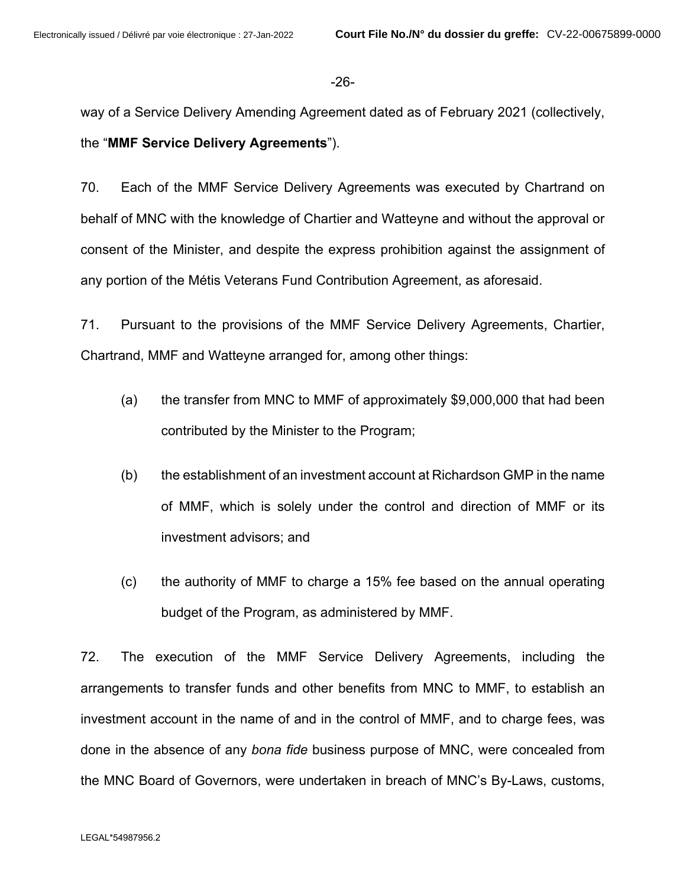#### -26-

way of a Service Delivery Amending Agreement dated as of February 2021 (collectively,

the "**MMF Service Delivery Agreements**").

70. Each of the MMF Service Delivery Agreements was executed by Chartrand on behalf of MNC with the knowledge of Chartier and Watteyne and without the approval or consent of the Minister, and despite the express prohibition against the assignment of any portion of the Métis Veterans Fund Contribution Agreement, as aforesaid.

71. Pursuant to the provisions of the MMF Service Delivery Agreements, Chartier, Chartrand, MMF and Watteyne arranged for, among other things:

- (a) the transfer from MNC to MMF of approximately \$9,000,000 that had been contributed by the Minister to the Program;
- (b) the establishment of an investment account at Richardson GMP in the name of MMF, which is solely under the control and direction of MMF or its investment advisors; and
- (c) the authority of MMF to charge a 15% fee based on the annual operating budget of the Program, as administered by MMF.

72. The execution of the MMF Service Delivery Agreements, including the arrangements to transfer funds and other benefits from MNC to MMF, to establish an investment account in the name of and in the control of MMF, and to charge fees, was done in the absence of any *bona fide* business purpose of MNC, were concealed from the MNC Board of Governors, were undertaken in breach of MNC's By-Laws, customs,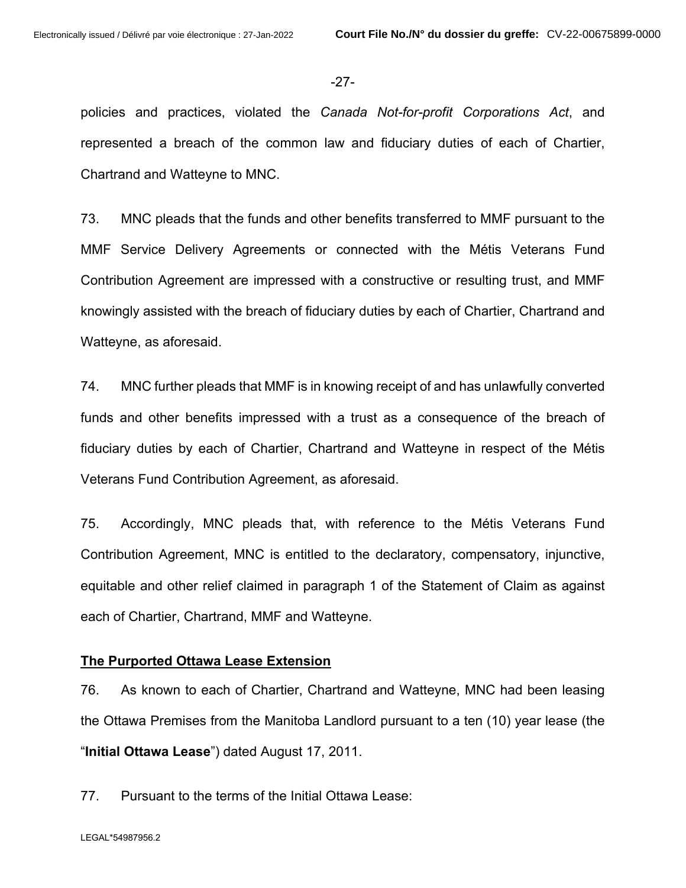#### -27-

policies and practices, violated the *Canada Not-for-profit Corporations Act*, and represented a breach of the common law and fiduciary duties of each of Chartier, Chartrand and Watteyne to MNC.

73. MNC pleads that the funds and other benefits transferred to MMF pursuant to the MMF Service Delivery Agreements or connected with the Métis Veterans Fund Contribution Agreement are impressed with a constructive or resulting trust, and MMF knowingly assisted with the breach of fiduciary duties by each of Chartier, Chartrand and Watteyne, as aforesaid.

74. MNC further pleads that MMF is in knowing receipt of and has unlawfully converted funds and other benefits impressed with a trust as a consequence of the breach of fiduciary duties by each of Chartier, Chartrand and Watteyne in respect of the Métis Veterans Fund Contribution Agreement, as aforesaid.

75. Accordingly, MNC pleads that, with reference to the Métis Veterans Fund Contribution Agreement, MNC is entitled to the declaratory, compensatory, injunctive, equitable and other relief claimed in paragraph 1 of the Statement of Claim as against each of Chartier, Chartrand, MMF and Watteyne.

## **The Purported Ottawa Lease Extension**

76. As known to each of Chartier, Chartrand and Watteyne, MNC had been leasing the Ottawa Premises from the Manitoba Landlord pursuant to a ten (10) year lease (the "**Initial Ottawa Lease**") dated August 17, 2011.

77. Pursuant to the terms of the Initial Ottawa Lease: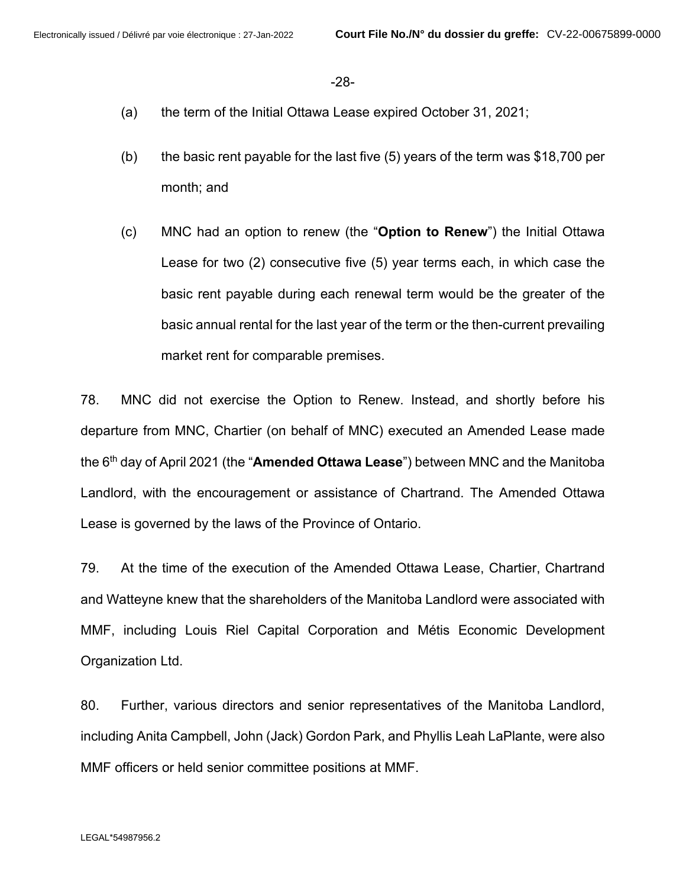-28-

- (a) the term of the Initial Ottawa Lease expired October 31, 2021;
- (b) the basic rent payable for the last five (5) years of the term was  $$18,700$  per month; and
- (c) MNC had an option to renew (the "**Option to Renew**") the Initial Ottawa Lease for two (2) consecutive five (5) year terms each, in which case the basic rent payable during each renewal term would be the greater of the basic annual rental for the last year of the term or the then-current prevailing market rent for comparable premises.

78. MNC did not exercise the Option to Renew. Instead, and shortly before his departure from MNC, Chartier (on behalf of MNC) executed an Amended Lease made the 6 th day of April 2021 (the "**Amended Ottawa Lease**") between MNC and the Manitoba Landlord, with the encouragement or assistance of Chartrand. The Amended Ottawa Lease is governed by the laws of the Province of Ontario.

79. At the time of the execution of the Amended Ottawa Lease, Chartier, Chartrand and Watteyne knew that the shareholders of the Manitoba Landlord were associated with MMF, including Louis Riel Capital Corporation and Métis Economic Development Organization Ltd.

80. Further, various directors and senior representatives of the Manitoba Landlord, including Anita Campbell, John (Jack) Gordon Park, and Phyllis Leah LaPlante, were also MMF officers or held senior committee positions at MMF.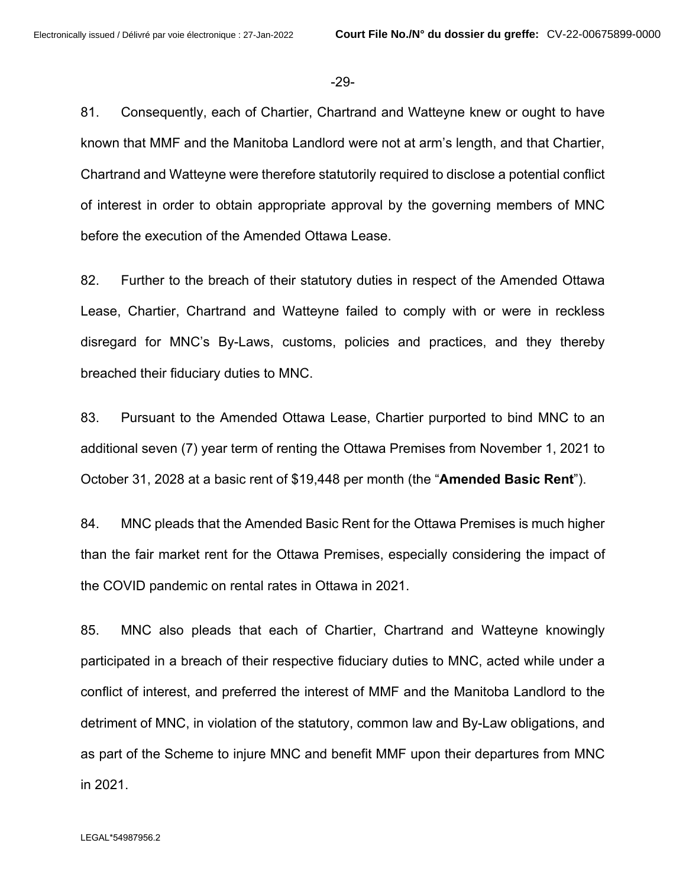-29-

81. Consequently, each of Chartier, Chartrand and Watteyne knew or ought to have known that MMF and the Manitoba Landlord were not at arm's length, and that Chartier, Chartrand and Watteyne were therefore statutorily required to disclose a potential conflict of interest in order to obtain appropriate approval by the governing members of MNC before the execution of the Amended Ottawa Lease.

82. Further to the breach of their statutory duties in respect of the Amended Ottawa Lease, Chartier, Chartrand and Watteyne failed to comply with or were in reckless disregard for MNC's By-Laws, customs, policies and practices, and they thereby breached their fiduciary duties to MNC.

83. Pursuant to the Amended Ottawa Lease, Chartier purported to bind MNC to an additional seven (7) year term of renting the Ottawa Premises from November 1, 2021 to October 31, 2028 at a basic rent of \$19,448 per month (the "**Amended Basic Rent**").

84. MNC pleads that the Amended Basic Rent for the Ottawa Premises is much higher than the fair market rent for the Ottawa Premises, especially considering the impact of the COVID pandemic on rental rates in Ottawa in 2021.

85. MNC also pleads that each of Chartier, Chartrand and Watteyne knowingly participated in a breach of their respective fiduciary duties to MNC, acted while under a conflict of interest, and preferred the interest of MMF and the Manitoba Landlord to the detriment of MNC, in violation of the statutory, common law and By-Law obligations, and as part of the Scheme to injure MNC and benefit MMF upon their departures from MNC in 2021.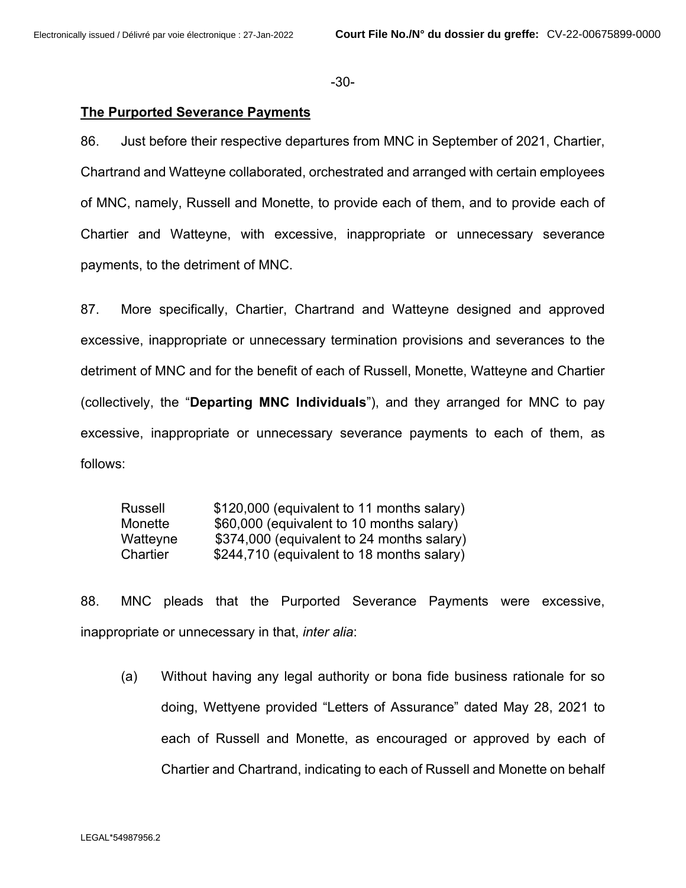-30-

#### **The Purported Severance Payments**

86. Just before their respective departures from MNC in September of 2021, Chartier, Chartrand and Watteyne collaborated, orchestrated and arranged with certain employees of MNC, namely, Russell and Monette, to provide each of them, and to provide each of Chartier and Watteyne, with excessive, inappropriate or unnecessary severance payments, to the detriment of MNC.

87. More specifically, Chartier, Chartrand and Watteyne designed and approved excessive, inappropriate or unnecessary termination provisions and severances to the detriment of MNC and for the benefit of each of Russell, Monette, Watteyne and Chartier (collectively, the "**Departing MNC Individuals**"), and they arranged for MNC to pay excessive, inappropriate or unnecessary severance payments to each of them, as follows:

| Russell  | \$120,000 (equivalent to 11 months salary) |
|----------|--------------------------------------------|
| Monette  | \$60,000 (equivalent to 10 months salary)  |
| Watteyne | \$374,000 (equivalent to 24 months salary) |
| Chartier | \$244,710 (equivalent to 18 months salary) |

88. MNC pleads that the Purported Severance Payments were excessive, inappropriate or unnecessary in that, *inter alia*:

(a) Without having any legal authority or bona fide business rationale for so doing, Wettyene provided "Letters of Assurance" dated May 28, 2021 to each of Russell and Monette, as encouraged or approved by each of Chartier and Chartrand, indicating to each of Russell and Monette on behalf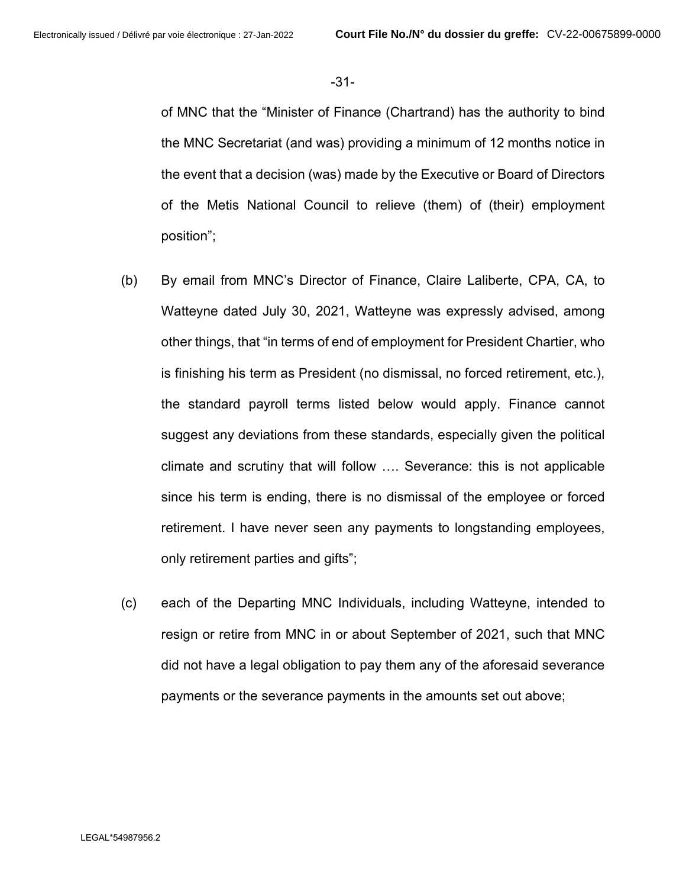-31-

of MNC that the "Minister of Finance (Chartrand) has the authority to bind the MNC Secretariat (and was) providing a minimum of 12 months notice in the event that a decision (was) made by the Executive or Board of Directors of the Metis National Council to relieve (them) of (their) employment position";

- (b) By email from MNC's Director of Finance, Claire Laliberte, CPA, CA, to Watteyne dated July 30, 2021, Watteyne was expressly advised, among other things, that "in terms of end of employment for President Chartier, who is finishing his term as President (no dismissal, no forced retirement, etc.), the standard payroll terms listed below would apply. Finance cannot suggest any deviations from these standards, especially given the political climate and scrutiny that will follow …. Severance: this is not applicable since his term is ending, there is no dismissal of the employee or forced retirement. I have never seen any payments to longstanding employees, only retirement parties and gifts";
- (c) each of the Departing MNC Individuals, including Watteyne, intended to resign or retire from MNC in or about September of 2021, such that MNC did not have a legal obligation to pay them any of the aforesaid severance payments or the severance payments in the amounts set out above;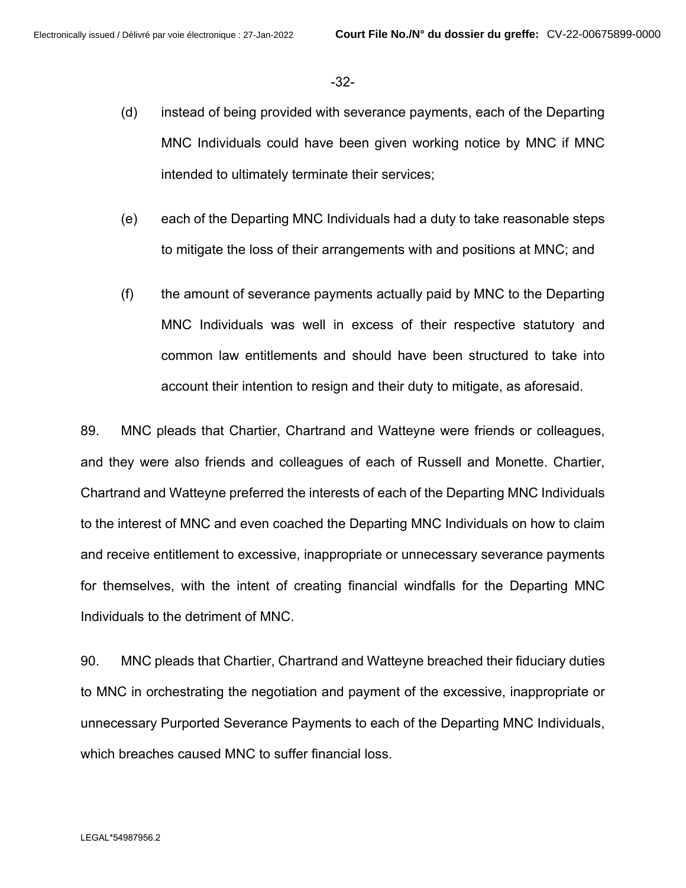-32-

- (d) instead of being provided with severance payments, each of the Departing MNC Individuals could have been given working notice by MNC if MNC intended to ultimately terminate their services;
- (e) each of the Departing MNC Individuals had a duty to take reasonable steps to mitigate the loss of their arrangements with and positions at MNC; and
- (f) the amount of severance payments actually paid by MNC to the Departing MNC Individuals was well in excess of their respective statutory and common law entitlements and should have been structured to take into account their intention to resign and their duty to mitigate, as aforesaid.

89. MNC pleads that Chartier, Chartrand and Watteyne were friends or colleagues, and they were also friends and colleagues of each of Russell and Monette. Chartier, Chartrand and Watteyne preferred the interests of each of the Departing MNC Individuals to the interest of MNC and even coached the Departing MNC Individuals on how to claim and receive entitlement to excessive, inappropriate or unnecessary severance payments for themselves, with the intent of creating financial windfalls for the Departing MNC Individuals to the detriment of MNC.

90. MNC pleads that Chartier, Chartrand and Watteyne breached their fiduciary duties to MNC in orchestrating the negotiation and payment of the excessive, inappropriate or unnecessary Purported Severance Payments to each of the Departing MNC Individuals, which breaches caused MNC to suffer financial loss.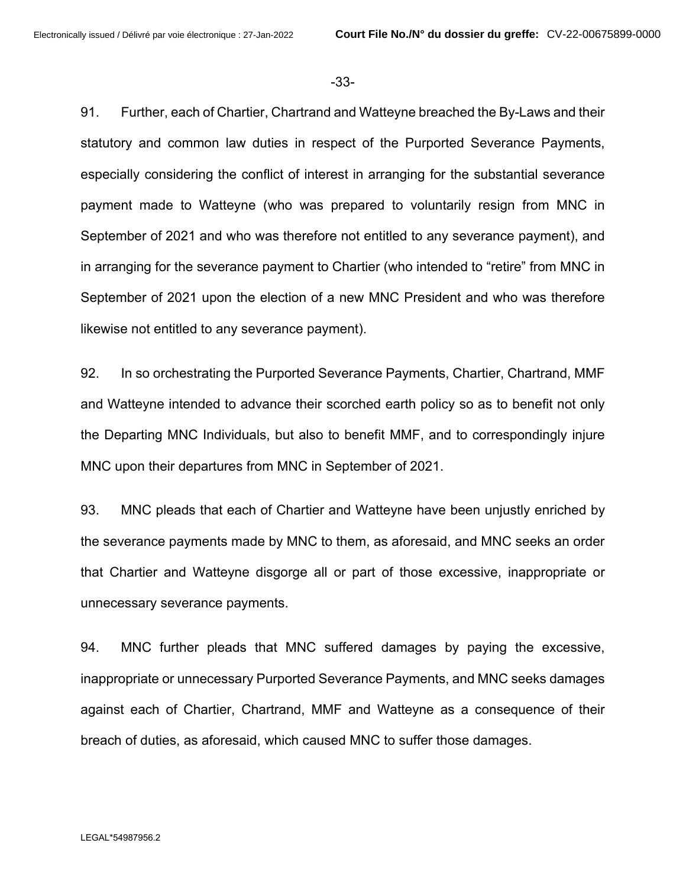-33-

91. Further, each of Chartier, Chartrand and Watteyne breached the By-Laws and their statutory and common law duties in respect of the Purported Severance Payments, especially considering the conflict of interest in arranging for the substantial severance payment made to Watteyne (who was prepared to voluntarily resign from MNC in September of 2021 and who was therefore not entitled to any severance payment), and in arranging for the severance payment to Chartier (who intended to "retire" from MNC in September of 2021 upon the election of a new MNC President and who was therefore likewise not entitled to any severance payment).

92. In so orchestrating the Purported Severance Payments, Chartier, Chartrand, MMF and Watteyne intended to advance their scorched earth policy so as to benefit not only the Departing MNC Individuals, but also to benefit MMF, and to correspondingly injure MNC upon their departures from MNC in September of 2021.

93. MNC pleads that each of Chartier and Watteyne have been unjustly enriched by the severance payments made by MNC to them, as aforesaid, and MNC seeks an order that Chartier and Watteyne disgorge all or part of those excessive, inappropriate or unnecessary severance payments.

94. MNC further pleads that MNC suffered damages by paying the excessive, inappropriate or unnecessary Purported Severance Payments, and MNC seeks damages against each of Chartier, Chartrand, MMF and Watteyne as a consequence of their breach of duties, as aforesaid, which caused MNC to suffer those damages.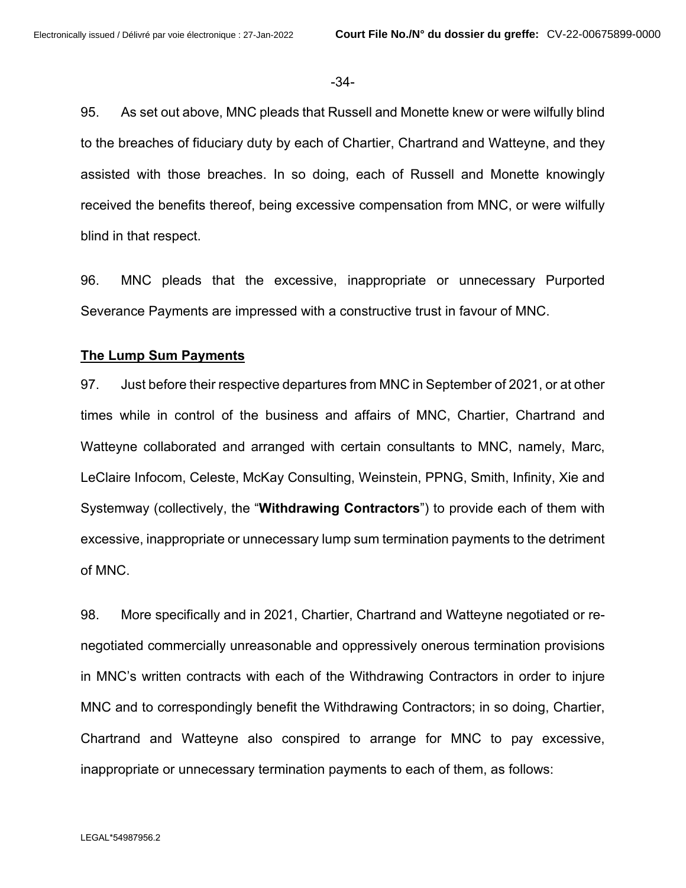#### -34-

95. As set out above, MNC pleads that Russell and Monette knew or were wilfully blind to the breaches of fiduciary duty by each of Chartier, Chartrand and Watteyne, and they assisted with those breaches. In so doing, each of Russell and Monette knowingly received the benefits thereof, being excessive compensation from MNC, or were wilfully blind in that respect.

96. MNC pleads that the excessive, inappropriate or unnecessary Purported Severance Payments are impressed with a constructive trust in favour of MNC.

#### **The Lump Sum Payments**

97. Just before their respective departures from MNC in September of 2021, or at other times while in control of the business and affairs of MNC, Chartier, Chartrand and Watteyne collaborated and arranged with certain consultants to MNC, namely, Marc, LeClaire Infocom, Celeste, McKay Consulting, Weinstein, PPNG, Smith, Infinity, Xie and Systemway (collectively, the "**Withdrawing Contractors**") to provide each of them with excessive, inappropriate or unnecessary lump sum termination payments to the detriment of MNC.

98. More specifically and in 2021, Chartier, Chartrand and Watteyne negotiated or renegotiated commercially unreasonable and oppressively onerous termination provisions in MNC's written contracts with each of the Withdrawing Contractors in order to injure MNC and to correspondingly benefit the Withdrawing Contractors; in so doing, Chartier, Chartrand and Watteyne also conspired to arrange for MNC to pay excessive, inappropriate or unnecessary termination payments to each of them, as follows: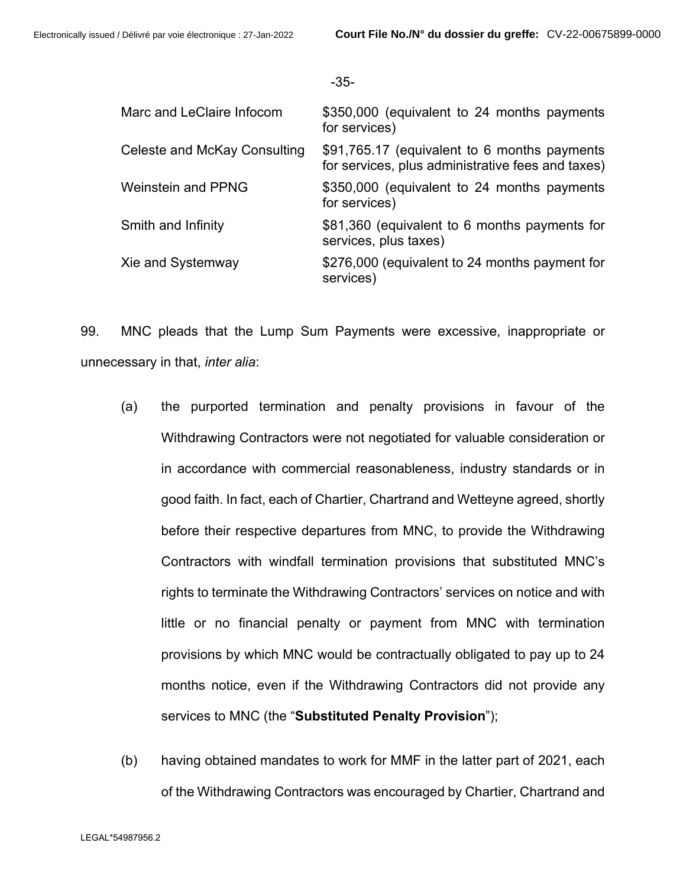| -<br>×<br>٠<br>×<br>I<br>I<br>×<br>۰.<br>M.<br>۰. |
|---------------------------------------------------|
|---------------------------------------------------|

| Marc and LeClaire Infocom    | \$350,000 (equivalent to 24 months payments<br>for services)                                      |
|------------------------------|---------------------------------------------------------------------------------------------------|
| Celeste and McKay Consulting | \$91,765.17 (equivalent to 6 months payments<br>for services, plus administrative fees and taxes) |
| <b>Weinstein and PPNG</b>    | \$350,000 (equivalent to 24 months payments<br>for services)                                      |
| Smith and Infinity           | \$81,360 (equivalent to 6 months payments for<br>services, plus taxes)                            |
| Xie and Systemway            | \$276,000 (equivalent to 24 months payment for<br>services)                                       |

99. MNC pleads that the Lump Sum Payments were excessive, inappropriate or unnecessary in that, *inter alia*:

- (a) the purported termination and penalty provisions in favour of the Withdrawing Contractors were not negotiated for valuable consideration or in accordance with commercial reasonableness, industry standards or in good faith. In fact, each of Chartier, Chartrand and Wetteyne agreed, shortly before their respective departures from MNC, to provide the Withdrawing Contractors with windfall termination provisions that substituted MNC's rights to terminate the Withdrawing Contractors' services on notice and with little or no financial penalty or payment from MNC with termination provisions by which MNC would be contractually obligated to pay up to 24 months notice, even if the Withdrawing Contractors did not provide any services to MNC (the "**Substituted Penalty Provision**");
- (b) having obtained mandates to work for MMF in the latter part of 2021, each of the Withdrawing Contractors was encouraged by Chartier, Chartrand and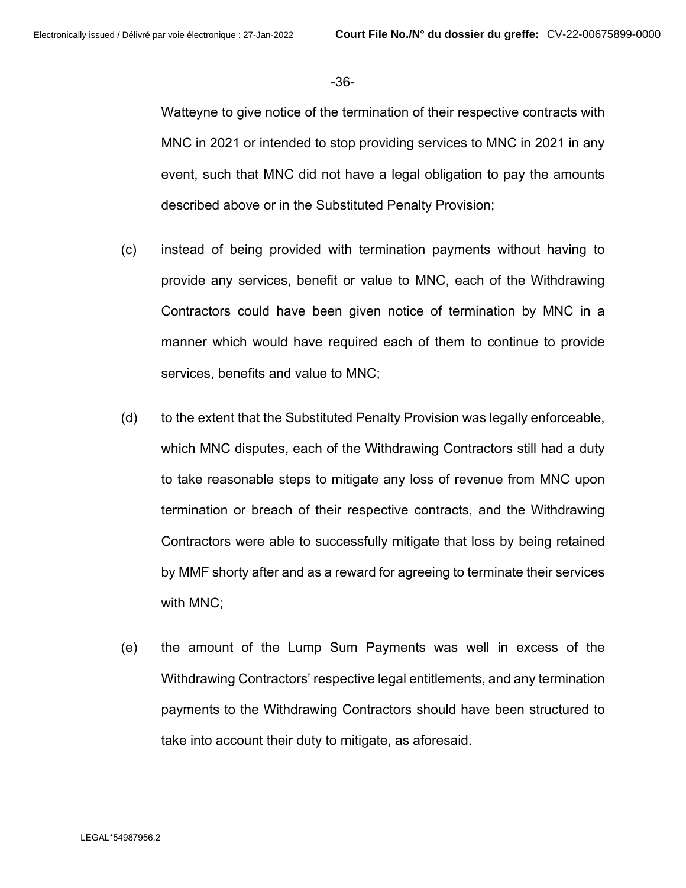-36-

Watteyne to give notice of the termination of their respective contracts with MNC in 2021 or intended to stop providing services to MNC in 2021 in any event, such that MNC did not have a legal obligation to pay the amounts described above or in the Substituted Penalty Provision;

- (c) instead of being provided with termination payments without having to provide any services, benefit or value to MNC, each of the Withdrawing Contractors could have been given notice of termination by MNC in a manner which would have required each of them to continue to provide services, benefits and value to MNC;
- (d) to the extent that the Substituted Penalty Provision was legally enforceable, which MNC disputes, each of the Withdrawing Contractors still had a duty to take reasonable steps to mitigate any loss of revenue from MNC upon termination or breach of their respective contracts, and the Withdrawing Contractors were able to successfully mitigate that loss by being retained by MMF shorty after and as a reward for agreeing to terminate their services with MNC;
- (e) the amount of the Lump Sum Payments was well in excess of the Withdrawing Contractors' respective legal entitlements, and any termination payments to the Withdrawing Contractors should have been structured to take into account their duty to mitigate, as aforesaid.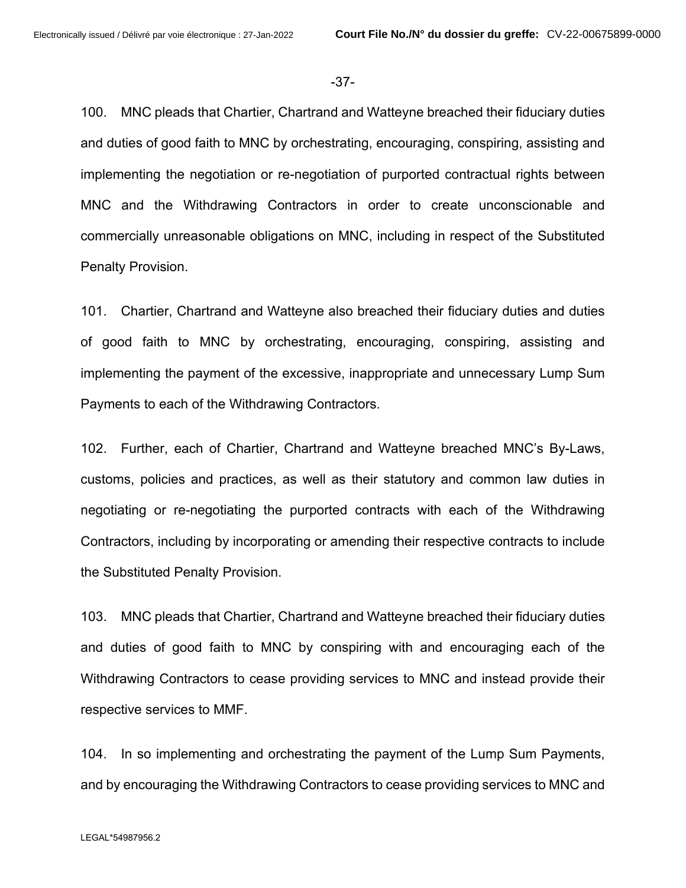-37-

100. MNC pleads that Chartier, Chartrand and Watteyne breached their fiduciary duties and duties of good faith to MNC by orchestrating, encouraging, conspiring, assisting and implementing the negotiation or re-negotiation of purported contractual rights between MNC and the Withdrawing Contractors in order to create unconscionable and commercially unreasonable obligations on MNC, including in respect of the Substituted Penalty Provision.

101. Chartier, Chartrand and Watteyne also breached their fiduciary duties and duties of good faith to MNC by orchestrating, encouraging, conspiring, assisting and implementing the payment of the excessive, inappropriate and unnecessary Lump Sum Payments to each of the Withdrawing Contractors.

102. Further, each of Chartier, Chartrand and Watteyne breached MNC's By-Laws, customs, policies and practices, as well as their statutory and common law duties in negotiating or re-negotiating the purported contracts with each of the Withdrawing Contractors, including by incorporating or amending their respective contracts to include the Substituted Penalty Provision.

103. MNC pleads that Chartier, Chartrand and Watteyne breached their fiduciary duties and duties of good faith to MNC by conspiring with and encouraging each of the Withdrawing Contractors to cease providing services to MNC and instead provide their respective services to MMF.

104. In so implementing and orchestrating the payment of the Lump Sum Payments, and by encouraging the Withdrawing Contractors to cease providing services to MNC and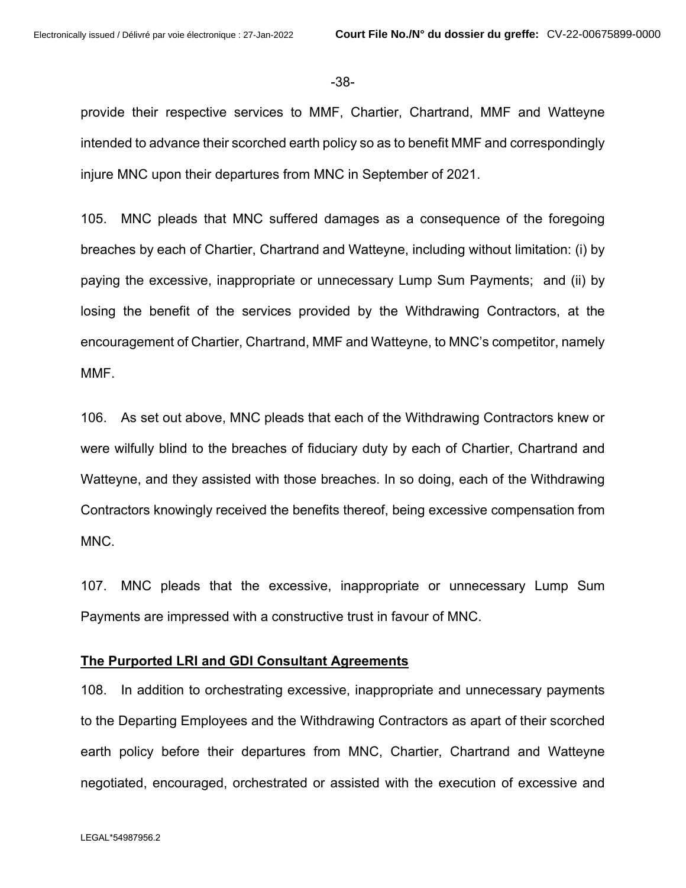#### -38-

provide their respective services to MMF, Chartier, Chartrand, MMF and Watteyne intended to advance their scorched earth policy so as to benefit MMF and correspondingly injure MNC upon their departures from MNC in September of 2021.

105. MNC pleads that MNC suffered damages as a consequence of the foregoing breaches by each of Chartier, Chartrand and Watteyne, including without limitation: (i) by paying the excessive, inappropriate or unnecessary Lump Sum Payments; and (ii) by losing the benefit of the services provided by the Withdrawing Contractors, at the encouragement of Chartier, Chartrand, MMF and Watteyne, to MNC's competitor, namely MMF.

106. As set out above, MNC pleads that each of the Withdrawing Contractors knew or were wilfully blind to the breaches of fiduciary duty by each of Chartier, Chartrand and Watteyne, and they assisted with those breaches. In so doing, each of the Withdrawing Contractors knowingly received the benefits thereof, being excessive compensation from MNC.

107. MNC pleads that the excessive, inappropriate or unnecessary Lump Sum Payments are impressed with a constructive trust in favour of MNC.

## **The Purported LRI and GDI Consultant Agreements**

108. In addition to orchestrating excessive, inappropriate and unnecessary payments to the Departing Employees and the Withdrawing Contractors as apart of their scorched earth policy before their departures from MNC, Chartier, Chartrand and Watteyne negotiated, encouraged, orchestrated or assisted with the execution of excessive and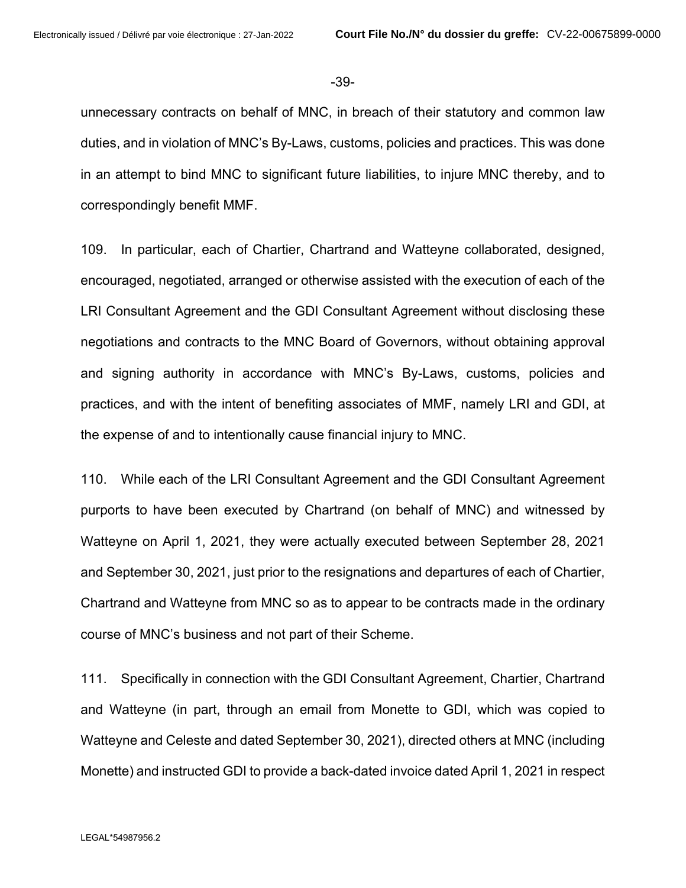-39-

unnecessary contracts on behalf of MNC, in breach of their statutory and common law duties, and in violation of MNC's By-Laws, customs, policies and practices. This was done in an attempt to bind MNC to significant future liabilities, to injure MNC thereby, and to correspondingly benefit MMF.

109. In particular, each of Chartier, Chartrand and Watteyne collaborated, designed, encouraged, negotiated, arranged or otherwise assisted with the execution of each of the LRI Consultant Agreement and the GDI Consultant Agreement without disclosing these negotiations and contracts to the MNC Board of Governors, without obtaining approval and signing authority in accordance with MNC's By-Laws, customs, policies and practices, and with the intent of benefiting associates of MMF, namely LRI and GDI, at the expense of and to intentionally cause financial injury to MNC.

110. While each of the LRI Consultant Agreement and the GDI Consultant Agreement purports to have been executed by Chartrand (on behalf of MNC) and witnessed by Watteyne on April 1, 2021, they were actually executed between September 28, 2021 and September 30, 2021, just prior to the resignations and departures of each of Chartier, Chartrand and Watteyne from MNC so as to appear to be contracts made in the ordinary course of MNC's business and not part of their Scheme.

111. Specifically in connection with the GDI Consultant Agreement, Chartier, Chartrand and Watteyne (in part, through an email from Monette to GDI, which was copied to Watteyne and Celeste and dated September 30, 2021), directed others at MNC (including Monette) and instructed GDI to provide a back-dated invoice dated April 1, 2021 in respect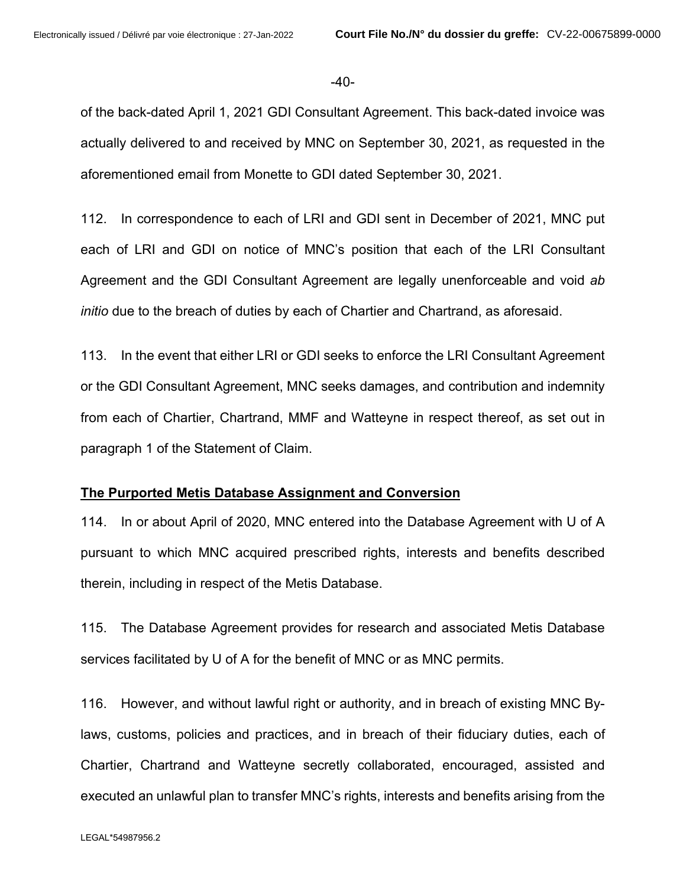-40-

of the back-dated April 1, 2021 GDI Consultant Agreement. This back-dated invoice was actually delivered to and received by MNC on September 30, 2021, as requested in the aforementioned email from Monette to GDI dated September 30, 2021.

112. In correspondence to each of LRI and GDI sent in December of 2021, MNC put each of LRI and GDI on notice of MNC's position that each of the LRI Consultant Agreement and the GDI Consultant Agreement are legally unenforceable and void *ab initio* due to the breach of duties by each of Chartier and Chartrand, as aforesaid.

113. In the event that either LRI or GDI seeks to enforce the LRI Consultant Agreement or the GDI Consultant Agreement, MNC seeks damages, and contribution and indemnity from each of Chartier, Chartrand, MMF and Watteyne in respect thereof, as set out in paragraph 1 of the Statement of Claim.

## **The Purported Metis Database Assignment and Conversion**

114. In or about April of 2020, MNC entered into the Database Agreement with U of A pursuant to which MNC acquired prescribed rights, interests and benefits described therein, including in respect of the Metis Database.

115. The Database Agreement provides for research and associated Metis Database services facilitated by U of A for the benefit of MNC or as MNC permits.

116. However, and without lawful right or authority, and in breach of existing MNC Bylaws, customs, policies and practices, and in breach of their fiduciary duties, each of Chartier, Chartrand and Watteyne secretly collaborated, encouraged, assisted and executed an unlawful plan to transfer MNC's rights, interests and benefits arising from the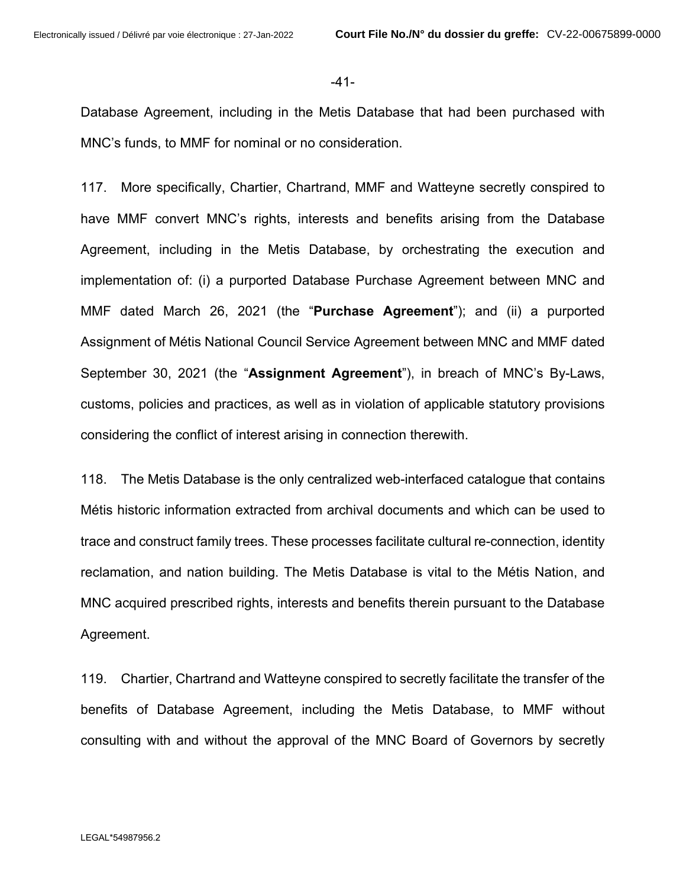#### -41-

Database Agreement, including in the Metis Database that had been purchased with MNC's funds, to MMF for nominal or no consideration.

117. More specifically, Chartier, Chartrand, MMF and Watteyne secretly conspired to have MMF convert MNC's rights, interests and benefits arising from the Database Agreement, including in the Metis Database, by orchestrating the execution and implementation of: (i) a purported Database Purchase Agreement between MNC and MMF dated March 26, 2021 (the "**Purchase Agreement**"); and (ii) a purported Assignment of Métis National Council Service Agreement between MNC and MMF dated September 30, 2021 (the "**Assignment Agreement**"), in breach of MNC's By-Laws, customs, policies and practices, as well as in violation of applicable statutory provisions considering the conflict of interest arising in connection therewith.

118. The Metis Database is the only centralized web-interfaced catalogue that contains Métis historic information extracted from archival documents and which can be used to trace and construct family trees. These processes facilitate cultural re-connection, identity reclamation, and nation building. The Metis Database is vital to the Métis Nation, and MNC acquired prescribed rights, interests and benefits therein pursuant to the Database Agreement.

119. Chartier, Chartrand and Watteyne conspired to secretly facilitate the transfer of the benefits of Database Agreement, including the Metis Database, to MMF without consulting with and without the approval of the MNC Board of Governors by secretly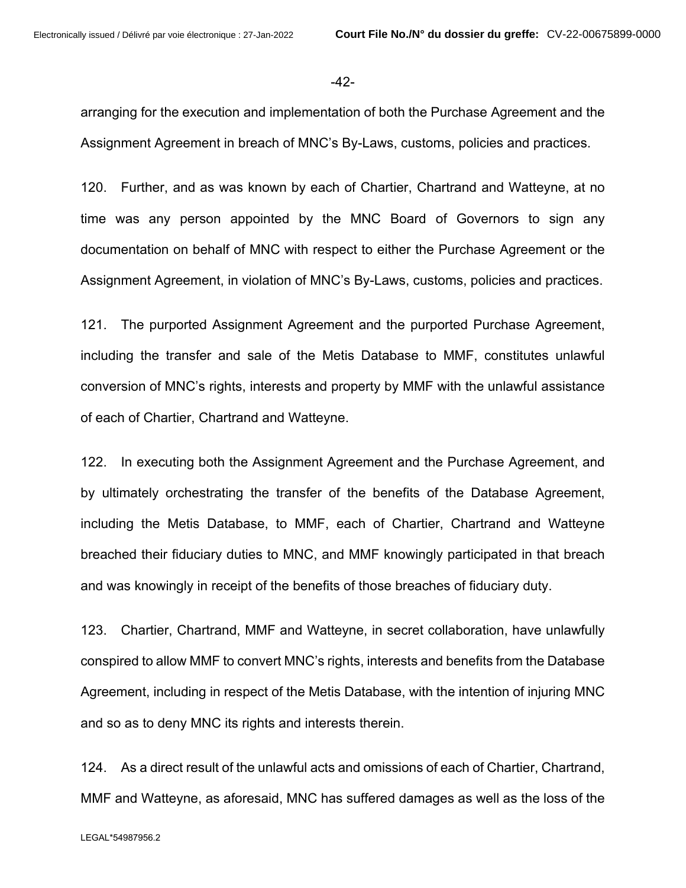#### -42-

arranging for the execution and implementation of both the Purchase Agreement and the Assignment Agreement in breach of MNC's By-Laws, customs, policies and practices.

120. Further, and as was known by each of Chartier, Chartrand and Watteyne, at no time was any person appointed by the MNC Board of Governors to sign any documentation on behalf of MNC with respect to either the Purchase Agreement or the Assignment Agreement, in violation of MNC's By-Laws, customs, policies and practices.

121. The purported Assignment Agreement and the purported Purchase Agreement, including the transfer and sale of the Metis Database to MMF, constitutes unlawful conversion of MNC's rights, interests and property by MMF with the unlawful assistance of each of Chartier, Chartrand and Watteyne.

122. In executing both the Assignment Agreement and the Purchase Agreement, and by ultimately orchestrating the transfer of the benefits of the Database Agreement, including the Metis Database, to MMF, each of Chartier, Chartrand and Watteyne breached their fiduciary duties to MNC, and MMF knowingly participated in that breach and was knowingly in receipt of the benefits of those breaches of fiduciary duty.

123. Chartier, Chartrand, MMF and Watteyne, in secret collaboration, have unlawfully conspired to allow MMF to convert MNC's rights, interests and benefits from the Database Agreement, including in respect of the Metis Database, with the intention of injuring MNC and so as to deny MNC its rights and interests therein.

124. As a direct result of the unlawful acts and omissions of each of Chartier, Chartrand, MMF and Watteyne, as aforesaid, MNC has suffered damages as well as the loss of the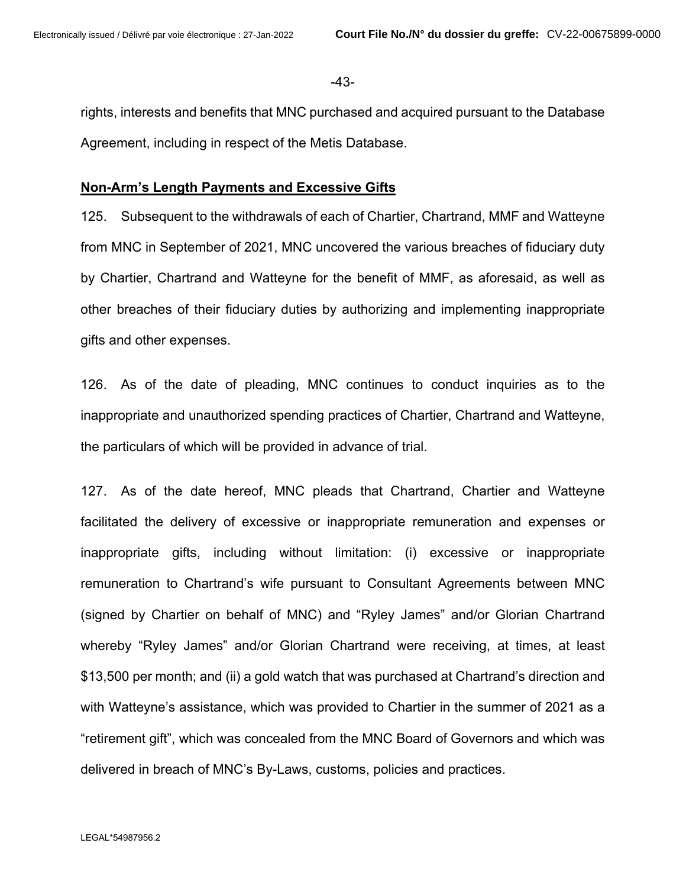-43-

rights, interests and benefits that MNC purchased and acquired pursuant to the Database Agreement, including in respect of the Metis Database.

## **Non-Arm's Length Payments and Excessive Gifts**

125. Subsequent to the withdrawals of each of Chartier, Chartrand, MMF and Watteyne from MNC in September of 2021, MNC uncovered the various breaches of fiduciary duty by Chartier, Chartrand and Watteyne for the benefit of MMF, as aforesaid, as well as other breaches of their fiduciary duties by authorizing and implementing inappropriate gifts and other expenses.

126. As of the date of pleading, MNC continues to conduct inquiries as to the inappropriate and unauthorized spending practices of Chartier, Chartrand and Watteyne, the particulars of which will be provided in advance of trial.

127. As of the date hereof, MNC pleads that Chartrand, Chartier and Watteyne facilitated the delivery of excessive or inappropriate remuneration and expenses or inappropriate gifts, including without limitation: (i) excessive or inappropriate remuneration to Chartrand's wife pursuant to Consultant Agreements between MNC (signed by Chartier on behalf of MNC) and "Ryley James" and/or Glorian Chartrand whereby "Ryley James" and/or Glorian Chartrand were receiving, at times, at least \$13,500 per month; and (ii) a gold watch that was purchased at Chartrand's direction and with Watteyne's assistance, which was provided to Chartier in the summer of 2021 as a "retirement gift", which was concealed from the MNC Board of Governors and which was delivered in breach of MNC's By-Laws, customs, policies and practices.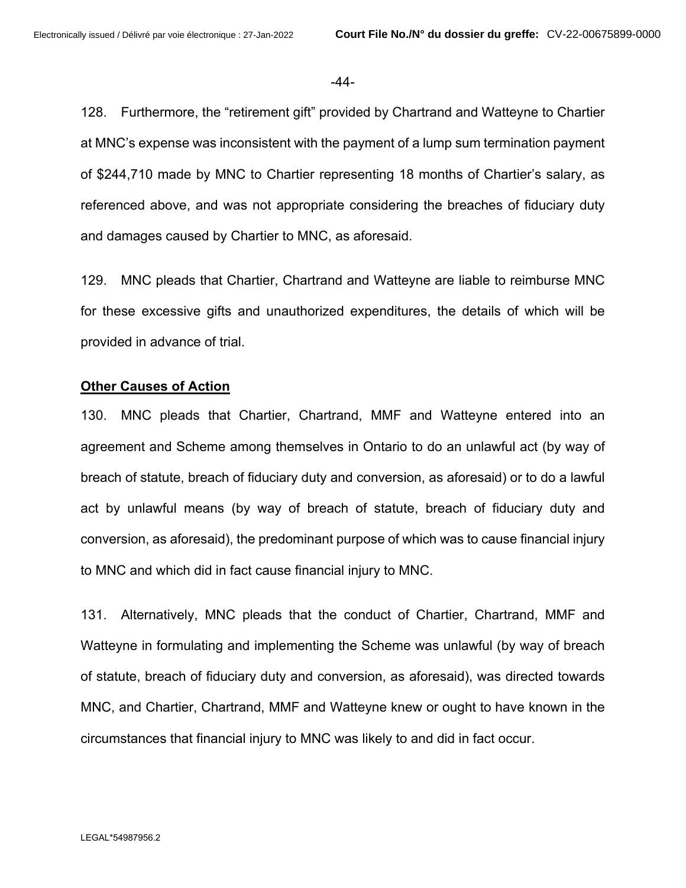#### -44-

128. Furthermore, the "retirement gift" provided by Chartrand and Watteyne to Chartier at MNC's expense was inconsistent with the payment of a lump sum termination payment of \$244,710 made by MNC to Chartier representing 18 months of Chartier's salary, as referenced above, and was not appropriate considering the breaches of fiduciary duty and damages caused by Chartier to MNC, as aforesaid.

129. MNC pleads that Chartier, Chartrand and Watteyne are liable to reimburse MNC for these excessive gifts and unauthorized expenditures, the details of which will be provided in advance of trial.

## **Other Causes of Action**

130. MNC pleads that Chartier, Chartrand, MMF and Watteyne entered into an agreement and Scheme among themselves in Ontario to do an unlawful act (by way of breach of statute, breach of fiduciary duty and conversion, as aforesaid) or to do a lawful act by unlawful means (by way of breach of statute, breach of fiduciary duty and conversion, as aforesaid), the predominant purpose of which was to cause financial injury to MNC and which did in fact cause financial injury to MNC.

131. Alternatively, MNC pleads that the conduct of Chartier, Chartrand, MMF and Watteyne in formulating and implementing the Scheme was unlawful (by way of breach of statute, breach of fiduciary duty and conversion, as aforesaid), was directed towards MNC, and Chartier, Chartrand, MMF and Watteyne knew or ought to have known in the circumstances that financial injury to MNC was likely to and did in fact occur.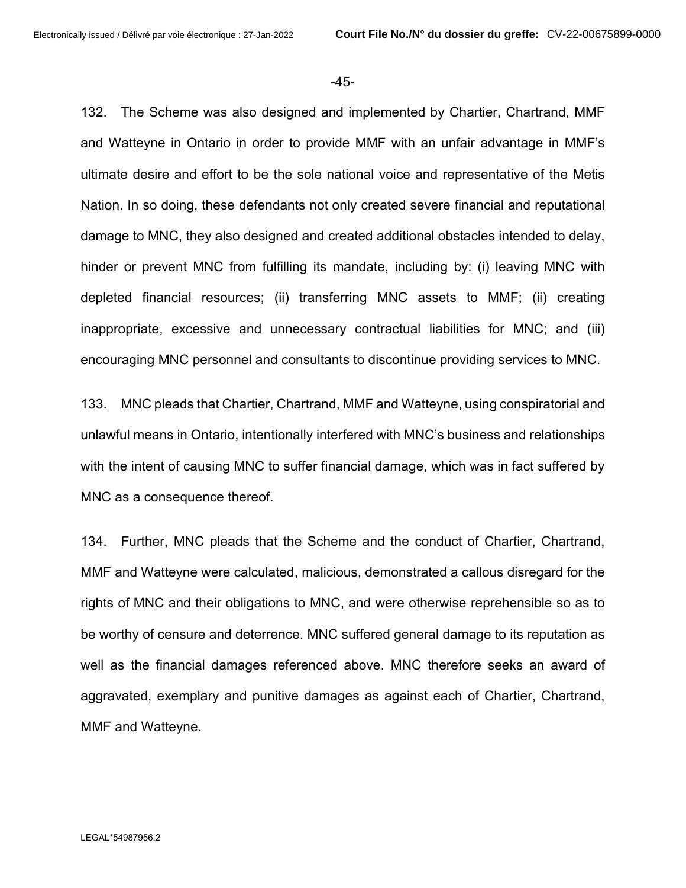-45-

132. The Scheme was also designed and implemented by Chartier, Chartrand, MMF and Watteyne in Ontario in order to provide MMF with an unfair advantage in MMF's ultimate desire and effort to be the sole national voice and representative of the Metis Nation. In so doing, these defendants not only created severe financial and reputational damage to MNC, they also designed and created additional obstacles intended to delay, hinder or prevent MNC from fulfilling its mandate, including by: (i) leaving MNC with depleted financial resources; (ii) transferring MNC assets to MMF; (ii) creating inappropriate, excessive and unnecessary contractual liabilities for MNC; and (iii) encouraging MNC personnel and consultants to discontinue providing services to MNC.

133. MNC pleads that Chartier, Chartrand, MMF and Watteyne, using conspiratorial and unlawful means in Ontario, intentionally interfered with MNC's business and relationships with the intent of causing MNC to suffer financial damage, which was in fact suffered by MNC as a consequence thereof.

134. Further, MNC pleads that the Scheme and the conduct of Chartier, Chartrand, MMF and Watteyne were calculated, malicious, demonstrated a callous disregard for the rights of MNC and their obligations to MNC, and were otherwise reprehensible so as to be worthy of censure and deterrence. MNC suffered general damage to its reputation as well as the financial damages referenced above. MNC therefore seeks an award of aggravated, exemplary and punitive damages as against each of Chartier, Chartrand, MMF and Watteyne.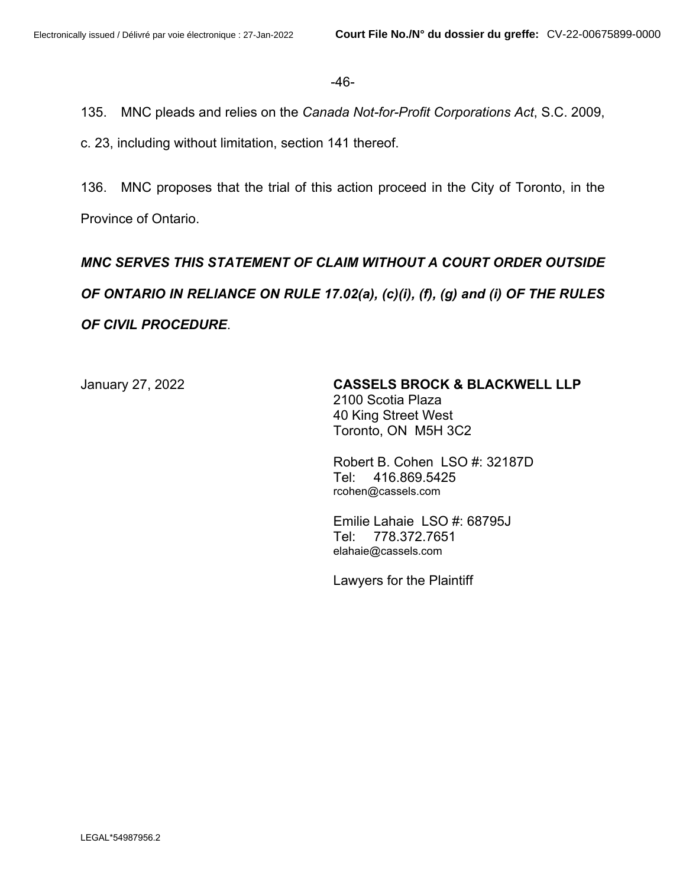-46-

135. MNC pleads and relies on the *Canada Not-for-Profit Corporations Act*, S.C. 2009,

c. 23, including without limitation, section 141 thereof.

136. MNC proposes that the trial of this action proceed in the City of Toronto, in the Province of Ontario.

# *MNC SERVES THIS STATEMENT OF CLAIM WITHOUT A COURT ORDER OUTSIDE OF ONTARIO IN RELIANCE ON RULE 17.02(a), (c)(i), (f), (g) and (i) OF THE RULES OF CIVIL PROCEDURE*.

# January 27, 2022 **CASSELS BROCK & BLACKWELL LLP**

2100 Scotia Plaza 40 King Street West Toronto, ON M5H 3C2

Robert B. Cohen LSO #: 32187D Tel: 416.869.5425 rcohen@cassels.com

Emilie Lahaie LSO #: 68795J Tel: 778.372.7651 elahaie@cassels.com

Lawyers for the Plaintiff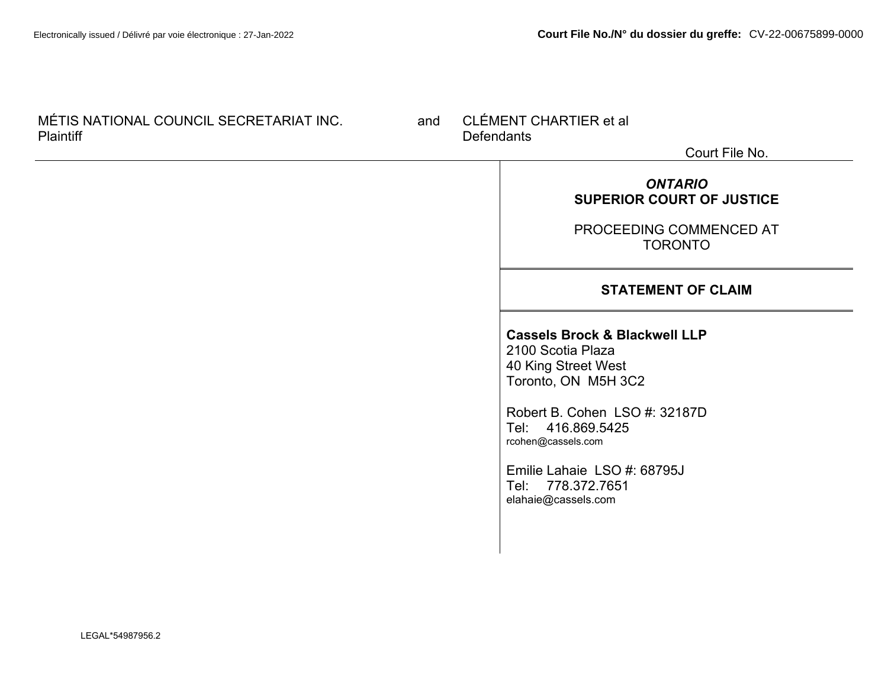| MÉTIS NATIONAL COUNCIL SECRETARIAT INC.<br><b>Plaintiff</b> |  | CLÉMENT CHARTIER et al<br><b>Defendants</b><br>Court File No. |                                                                                                                                                                                                                                                                    |
|-------------------------------------------------------------|--|---------------------------------------------------------------|--------------------------------------------------------------------------------------------------------------------------------------------------------------------------------------------------------------------------------------------------------------------|
|                                                             |  |                                                               | <b>ONTARIO</b><br><b>SUPERIOR COURT OF JUSTICE</b><br>PROCEEDING COMMENCED AT<br><b>TORONTO</b>                                                                                                                                                                    |
|                                                             |  |                                                               | <b>STATEMENT OF CLAIM</b>                                                                                                                                                                                                                                          |
|                                                             |  |                                                               | <b>Cassels Brock &amp; Blackwell LLP</b><br>2100 Scotia Plaza<br>40 King Street West<br>Toronto, ON M5H 3C2<br>Robert B. Cohen LSO #: 32187D<br>Tel: 416.869.5425<br>rcohen@cassels.com<br>Emilie Lahaie LSO #: 68795J<br>Tel: 778.372.7651<br>elahaie@cassels.com |